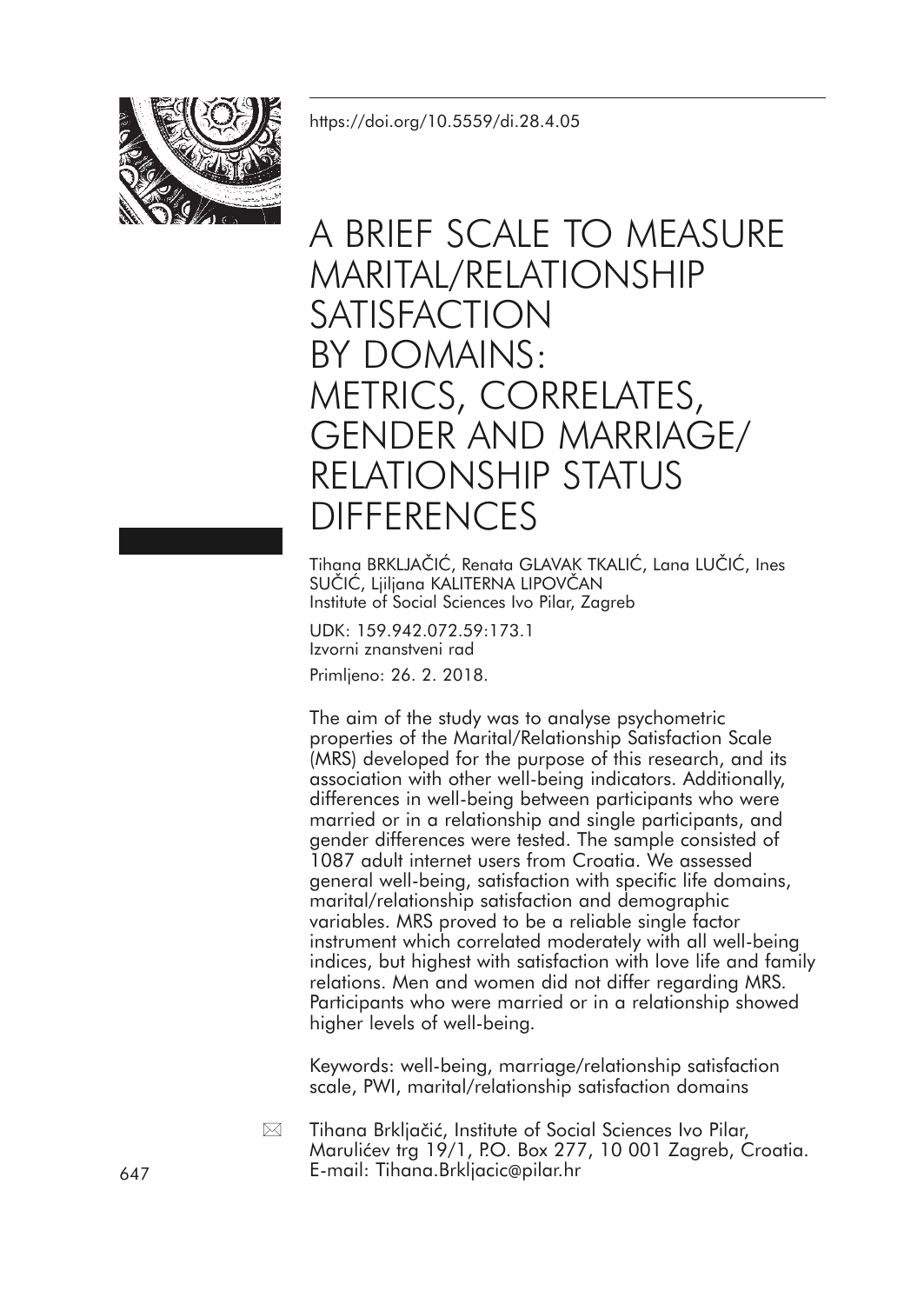

# A BRIEF SCALE TO MEASURE MARITAL/RELATIONSHIP SATISFACTION BY DOMAINS: METRICS, CORRELATES, GENDER AND MARRIAGE/ RELATIONSHIP STATUS DIFFERENCES

Tihana BRKLJAČIĆ, Renata GLAVAK TKALIĆ, Lana LUČIĆ, Ines SUČIĆ, Ljiljana KALITERNA LIPOVČAN Institute of Social Sciences Ivo Pilar, Zagreb

UDK: 159.942.072.59:173.1 Izvorni znanstveni rad Primljeno: 26. 2. 2018.

The aim of the study was to analyse psychometric properties of the Marital/Relationship Satisfaction Scale (MRS) developed for the purpose of this research, and its association with other well-being indicators. Additionally, differences in well-being between participants who were married or in a relationship and single participants, and gender differences were tested. The sample consisted of 1087 adult internet users from Croatia. We assessed general well-being, satisfaction with specific life domains, marital/relationship satisfaction and demographic variables. MRS proved to be a reliable single factor instrument which correlated moderately with all well-being indices, but highest with satisfaction with love life and family relations. Men and women did not differ regarding MRS. Participants who were married or in a relationship showed higher levels of well-being.

Keywords: well-being, marriage/relationship satisfaction scale, PWI, marital/relationship satisfaction domains

Tihana Brkljačić, Institute of Social Sciences Ivo Pilar, Marulićev trg 19/1, P.O. Box 277, 10 001 Zagreb, Croatia. 647 E-mail: Tihana.Brkljacic@pilar.hr  $\boxtimes$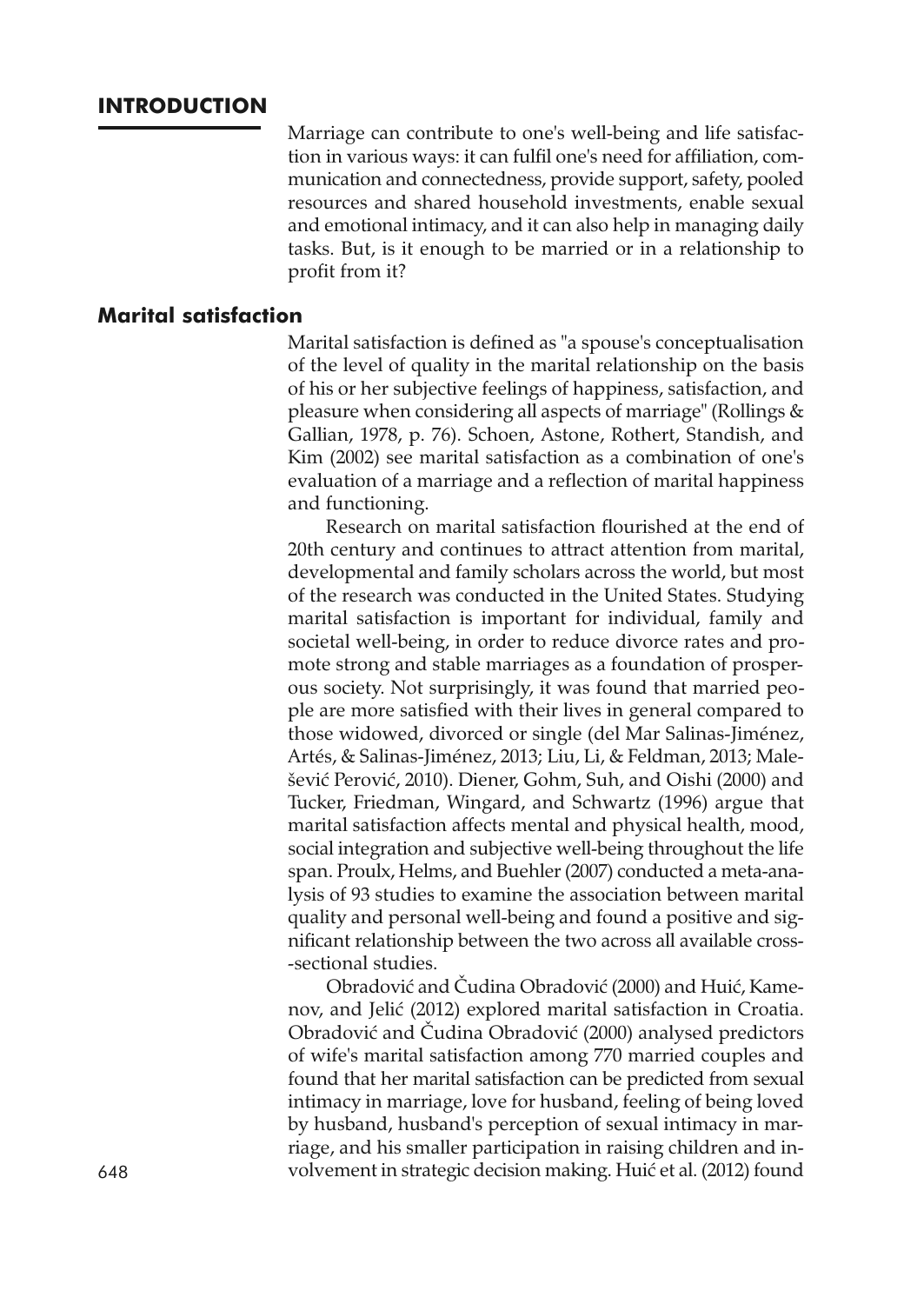# **INTRODUCTION**

Marriage can contribute to one's well-being and life satisfaction in various ways: it can fulfil one's need for affiliation, communication and connectedness, provide support, safety, pooled resources and shared household investments, enable sexual and emotional intimacy, and it can also help in managing daily tasks. But, is it enough to be married or in a relationship to profit from it?

# **Marital satisfaction**

Marital satisfaction is defined as "a spouse's conceptualisation of the level of quality in the marital relationship on the basis of his or her subjective feelings of happiness, satisfaction, and pleasure when considering all aspects of marriage" (Rollings & Gallian, 1978, p. 76). Schoen, Astone, Rothert, Standish, and Kim (2002) see marital satisfaction as a combination of one's evaluation of a marriage and a reflection of marital happiness and functioning.

Research on marital satisfaction flourished at the end of 20th century and continues to attract attention from marital, developmental and family scholars across the world, but most of the research was conducted in the United States. Studying marital satisfaction is important for individual, family and societal well-being, in order to reduce divorce rates and promote strong and stable marriages as a foundation of prosperous society. Not surprisingly, it was found that married people are more satisfied with their lives in general compared to those widowed, divorced or single (del Mar Salinas-Jiménez, Artés, & Salinas-Jiménez, 2013; Liu, Li, & Feldman, 2013; Malešević Perović, 2010). Diener, Gohm, Suh, and Oishi (2000) and Tucker, Friedman, Wingard, and Schwartz (1996) argue that marital satisfaction affects mental and physical health, mood, social integration and subjective well-being throughout the life span. Proulx, Helms, and Buehler (2007) conducted a meta-analysis of 93 studies to examine the association between marital quality and personal well-being and found a positive and significant relationship between the two across all available cross- -sectional studies.

Obradović and Čudina Obradović (2000) and Huić, Kamenov, and Jelić (2012) explored marital satisfaction in Croatia. Obradović and Čudina Obradović (2000) analysed predictors of wife's marital satisfaction among 770 married couples and found that her marital satisfaction can be predicted from sexual intimacy in marriage, love for husband, feeling of being loved by husband, husband's perception of sexual intimacy in marriage, and his smaller participation in raising children and in-648 volvement in strategic decision making. Huić et al. (2012) found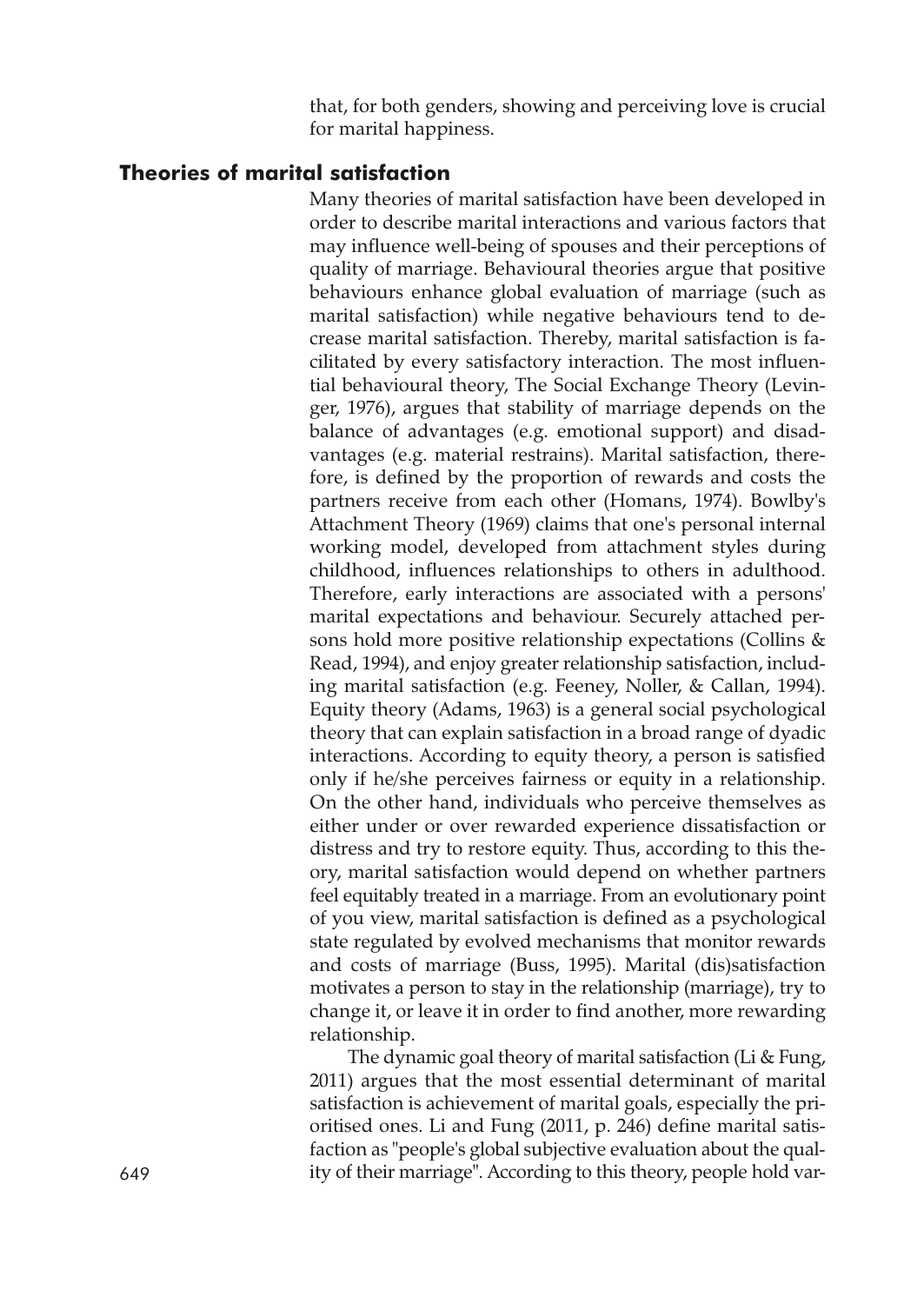that, for both genders, showing and perceiving love is crucial for marital happiness.

# **Theories of marital satisfaction**

Many theories of marital satisfaction have been developed in order to describe marital interactions and various factors that may influence well-being of spouses and their perceptions of quality of marriage. Behavioural theories argue that positive behaviours enhance global evaluation of marriage (such as marital satisfaction) while negative behaviours tend to decrease marital satisfaction. Thereby, marital satisfaction is facilitated by every satisfactory interaction. The most influential behavioural theory, The Social Exchange Theory (Levinger, 1976), argues that stability of marriage depends on the balance of advantages (e.g. emotional support) and disadvantages (e.g. material restrains). Marital satisfaction, therefore, is defined by the proportion of rewards and costs the partners receive from each other (Homans, 1974). Bowlby's Attachment Theory (1969) claims that one's personal internal working model, developed from attachment styles during childhood, influences relationships to others in adulthood. Therefore, early interactions are associated with a persons' marital expectations and behaviour. Securely attached persons hold more positive relationship expectations (Collins & Read, 1994), and enjoy greater relationship satisfaction, including marital satisfaction (e.g. Feeney, Noller, & Callan, 1994). Equity theory (Adams, 1963) is a general social psychological theory that can explain satisfaction in a broad range of dyadic interactions. According to equity theory, a person is satisfied only if he/she perceives fairness or equity in a relationship. On the other hand, individuals who perceive themselves as either under or over rewarded experience dissatisfaction or distress and try to restore equity. Thus, according to this theory, marital satisfaction would depend on whether partners feel equitably treated in a marriage. From an evolutionary point of you view, marital satisfaction is defined as a psychological state regulated by evolved mechanisms that monitor rewards and costs of marriage (Buss, 1995). Marital (dis)satisfaction motivates a person to stay in the relationship (marriage), try to change it, or leave it in order to find another, more rewarding relationship.

The dynamic goal theory of marital satisfaction (Li & Fung, 2011) argues that the most essential determinant of marital satisfaction is achievement of marital goals, especially the prioritised ones. Li and Fung (2011, p. 246) define marital satisfaction as "people's global subjective evaluation about the qual-649 ity of their marriage". According to this theory, people hold var-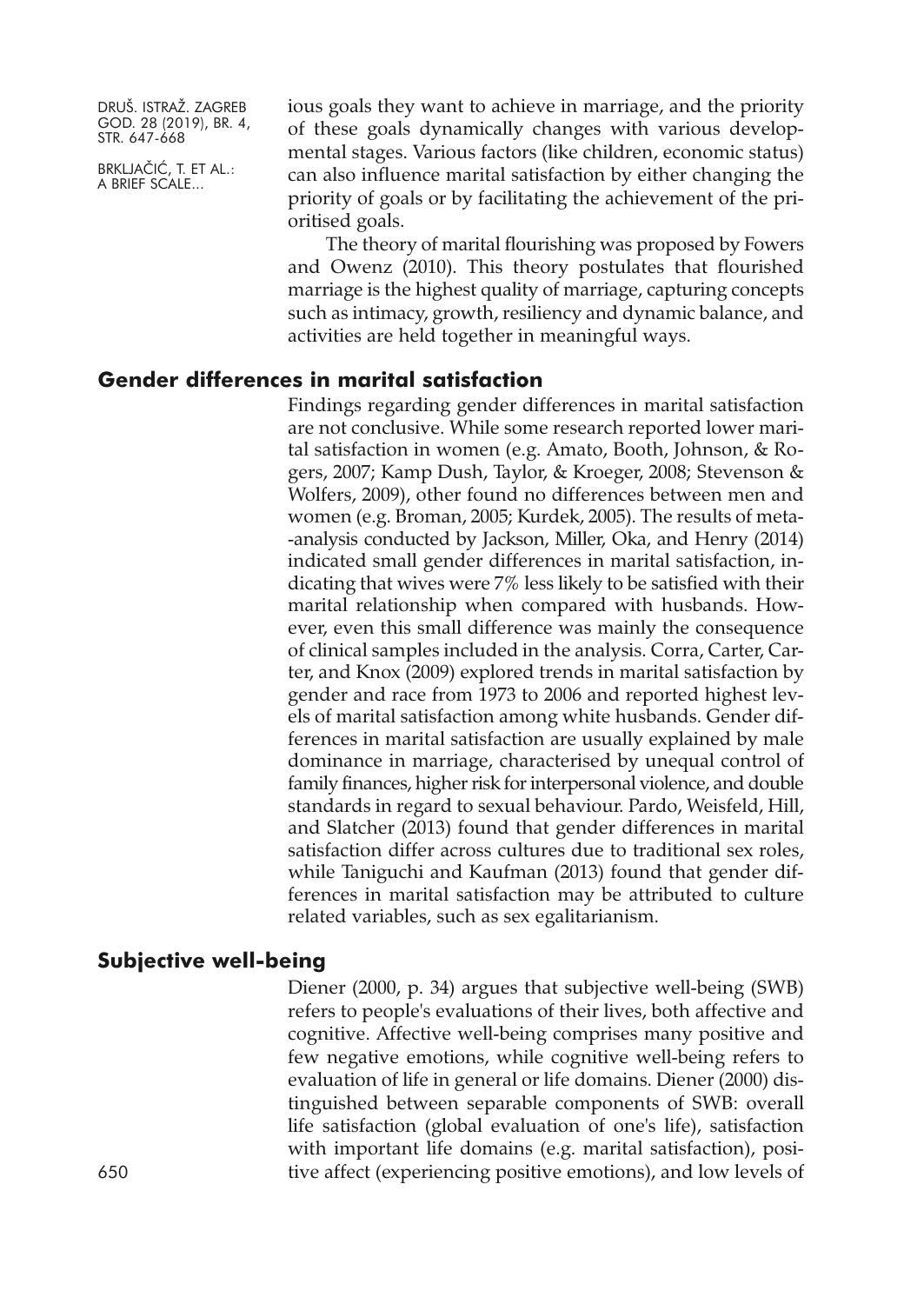BRKLJAČIĆ, T. ET AL.: A BRIEF SCALE...

ious goals they want to achieve in marriage, and the priority of these goals dynamically changes with various developmental stages. Various factors (like children, economic status) can also influence marital satisfaction by either changing the priority of goals or by facilitating the achievement of the prioritised goals.

The theory of marital flourishing was proposed by Fowers and Owenz (2010). This theory postulates that flourished marriage is the highest quality of marriage, capturing concepts such as intimacy, growth, resiliency and dynamic balance, and activities are held together in meaningful ways.

#### **Gender differences in marital satisfaction**

Findings regarding gender differences in marital satisfaction are not conclusive. While some research reported lower marital satisfaction in women (e.g. Amato, Booth, Johnson, & Rogers, 2007; Kamp Dush, Taylor, & Kroeger, 2008; Stevenson & Wolfers, 2009), other found no differences between men and women (e.g. Broman, 2005; Kurdek, 2005). The results of meta- -analysis conducted by Jackson, Miller, Oka, and Henry (2014) indicated small gender differences in marital satisfaction, indicating that wives were 7% less likely to be satisfied with their marital relationship when compared with husbands. However, even this small difference was mainly the consequence of clinical samples included in the analysis. Corra, Carter, Carter, and Knox (2009) explored trends in marital satisfaction by gender and race from 1973 to 2006 and reported highest levels of marital satisfaction among white husbands. Gender differences in marital satisfaction are usually explained by male dominance in marriage, characterised by unequal control of family finances, higher risk for interpersonal violence, and double standards in regard to sexual behaviour. Pardo, Weisfeld, Hill, and Slatcher (2013) found that gender differences in marital satisfaction differ across cultures due to traditional sex roles, while Taniguchi and Kaufman (2013) found that gender differences in marital satisfaction may be attributed to culture related variables, such as sex egalitarianism.

# **Subjective well-being**

Diener (2000, p. 34) argues that subjective well-being (SWB) refers to people's evaluations of their lives, both affective and cognitive. Affective well-being comprises many positive and few negative emotions, while cognitive well-being refers to evaluation of life in general or life domains. Diener (2000) distinguished between separable components of SWB: overall life satisfaction (global evaluation of one's life), satisfaction with important life domains (e.g. marital satisfaction), positive affect (experiencing positive emotions), and low levels of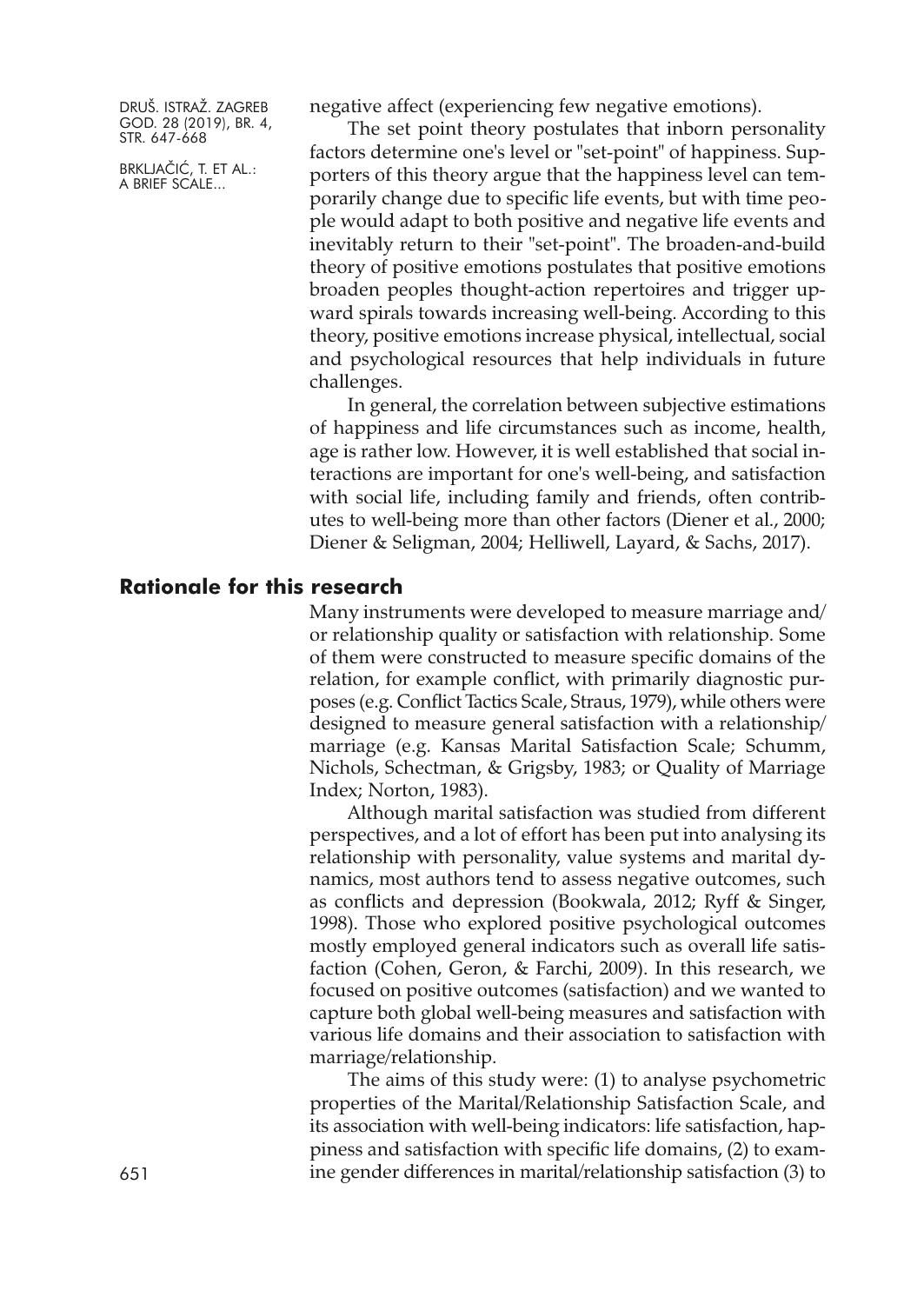BRKLJAČIĆ, T. ET AL.: A BRIEF SCALE...

negative affect (experiencing few negative emotions).

The set point theory postulates that inborn personality factors determine one's level or "set-point" of happiness. Supporters of this theory argue that the happiness level can temporarily change due to specific life events, but with time people would adapt to both positive and negative life events and inevitably return to their "set-point". The broaden-and-build theory of positive emotions postulates that positive emotions broaden peoples thought-action repertoires and trigger upward spirals towards increasing well-being. According to this theory, positive emotions increase physical, intellectual, social and psychological resources that help individuals in future challenges.

In general, the correlation between subjective estimations of happiness and life circumstances such as income, health, age is rather low. However, it is well established that social interactions are important for one's well-being, and satisfaction with social life, including family and friends, often contributes to well-being more than other factors (Diener et al., 2000; Diener & Seligman, 2004; Helliwell, Layard, & Sachs, 2017).

#### **Rationale for this research**

Many instruments were developed to measure marriage and/ or relationship quality or satisfaction with relationship. Some of them were constructed to measure specific domains of the relation, for example conflict, with primarily diagnostic purposes (e.g. Conflict Tactics Scale, Straus, 1979), while others were designed to measure general satisfaction with a relationship/ marriage (e.g. Kansas Marital Satisfaction Scale; Schumm, Nichols, Schectman, & Grigsby, 1983; or Quality of Marriage Index; Norton, 1983).

Although marital satisfaction was studied from different perspectives, and a lot of effort has been put into analysing its relationship with personality, value systems and marital dynamics, most authors tend to assess negative outcomes, such as conflicts and depression (Bookwala, 2012; Ryff & Singer, 1998). Those who explored positive psychological outcomes mostly employed general indicators such as overall life satisfaction (Cohen, Geron, & Farchi, 2009). In this research, we focused on positive outcomes (satisfaction) and we wanted to capture both global well-being measures and satisfaction with various life domains and their association to satisfaction with marriage/relationship.

The aims of this study were: (1) to analyse psychometric properties of the Marital/Relationship Satisfaction Scale, and its association with well-being indicators: life satisfaction, happiness and satisfaction with specific life domains, (2) to exam-651 ine gender differences in marital/relationship satisfaction (3) to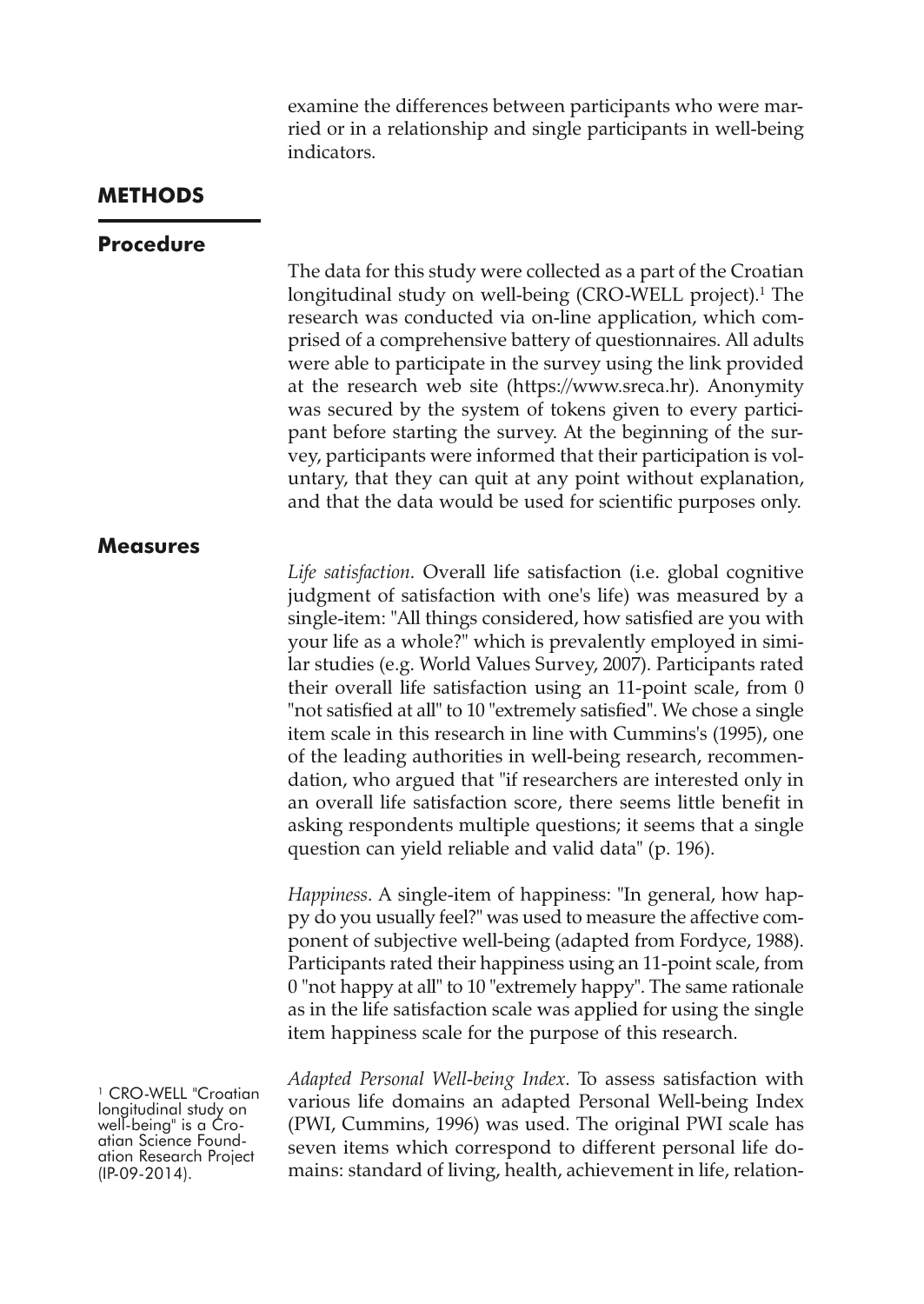examine the differences between participants who were married or in a relationship and single participants in well-being indicators.

#### **METHODS**

#### **Procedure**

The data for this study were collected as a part of the Croatian longitudinal study on well-being (CRO-WELL project). <sup>1</sup> The research was conducted via on-line application, which comprised of a comprehensive battery of questionnaires. All adults were able to participate in the survey using the link provided at the research web site [\(https://www.sreca.hr\)](https://www.sreca.hr). Anonymity was secured by the system of tokens given to every participant before starting the survey. At the beginning of the survey, participants were informed that their participation is voluntary, that they can quit at any point without explanation, and that the data would be used for scientific purposes only.

# **Measures**

*Life satisfaction*. Overall life satisfaction (i.e. global cognitive judgment of satisfaction with one's life) was measured by a single-item: "All things considered, how satisfied are you with your life as a whole?" which is prevalently employed in similar studies (e.g. World Values Survey, 2007). Participants rated their overall life satisfaction using an 11-point scale, from 0 "not satisfied at all" to 10 "extremely satisfied". We chose a single item scale in this research in line with Cummins's (1995), one of the leading authorities in well-being research, recommendation, who argued that "if researchers are interested only in an overall life satisfaction score, there seems little benefit in asking respondents multiple questions; it seems that a single question can yield reliable and valid data" (p. 196).

*Happiness*. A single-item of happiness: "In general, how happy do you usually feel?" was used to measure the affective component of subjective well-being (adapted from Fordyce, 1988). Participants rated their happiness using an 11-point scale, from 0 "not happy at all" to 10 "extremely happy". The same rationale as in the life satisfaction scale was applied for using the single item happiness scale for the purpose of this research.

<sup>1</sup> CRO-WELL "Croatian longitudinal study on well-being" is a Cro-<br>atian Science Found-<br>ation Research Project (IP-09-2014).

*Adapted Personal Well-being Index*. To assess satisfaction with various life domains an adapted Personal Well-being Index (PWI, Cummins, 1996) was used. The original PWI scale has seven items which correspond to different personal life domains: standard of living, health, achievement in life, relation-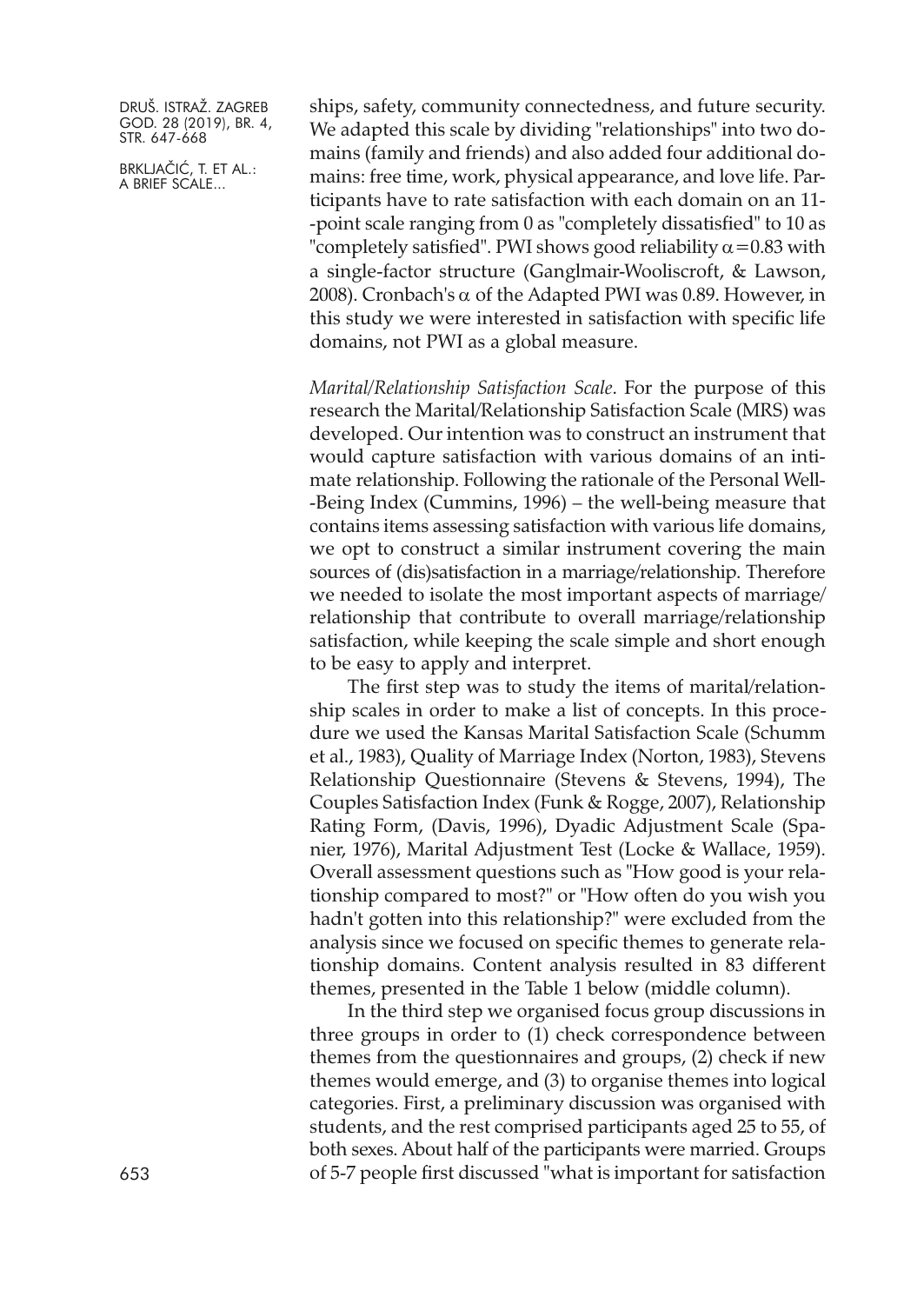BRKLJAČIĆ, T. ET AL.: A BRIEF SCALE...

ships, safety, community connectedness, and future security. We adapted this scale by dividing "relationships" into two domains (family and friends) and also added four additional domains: free time, work, physical appearance, and love life. Participants have to rate satisfaction with each domain on an 11- -point scale ranging from 0 as "completely dissatisfied" to 10 as "completely satisfied". PWI shows good reliability  $\alpha$  = 0.83 with a single-factor structure (Ganglmair-Wooliscroft, & Lawson, 2008). Cronbach's α of the Adapted PWI was 0.89. However, in this study we were interested in satisfaction with specific life domains, not PWI as a global measure.

*Marital/Relationship Satisfaction Scale*. For the purpose of this research the Marital/Relationship Satisfaction Scale (MRS) was developed. Our intention was to construct an instrument that would capture satisfaction with various domains of an intimate relationship. Following the rationale of the Personal Well- -Being Index (Cummins, 1996) – the well-being measure that contains items assessing satisfaction with various life domains, we opt to construct a similar instrument covering the main sources of (dis)satisfaction in a marriage/relationship. Therefore we needed to isolate the most important aspects of marriage/ relationship that contribute to overall marriage/relationship satisfaction, while keeping the scale simple and short enough to be easy to apply and interpret.

The first step was to study the items of marital/relationship scales in order to make a list of concepts. In this procedure we used the Kansas Marital Satisfaction Scale (Schumm et al., 1983), Quality of Marriage Index (Norton, 1983), Stevens Relationship Questionnaire (Stevens & Stevens, 1994), The Couples Satisfaction Index (Funk & Rogge, 2007), Relationship Rating Form, (Davis, 1996), Dyadic Adjustment Scale (Spanier, 1976), Marital Adjustment Test (Locke & Wallace, 1959). Overall assessment questions such as "How good is your relationship compared to most?" or "How often do you wish you hadn't gotten into this relationship?" were excluded from the analysis since we focused on specific themes to generate relationship domains. Content analysis resulted in 83 different themes, presented in the Table 1 below (middle column).

In the third step we organised focus group discussions in three groups in order to (1) check correspondence between themes from the questionnaires and groups, (2) check if new themes would emerge, and (3) to organise themes into logical categories. First, a preliminary discussion was organised with students, and the rest comprised participants aged 25 to 55, of both sexes. About half of the participants were married. Groups 653 of 5-7 people first discussed "what is important for satisfaction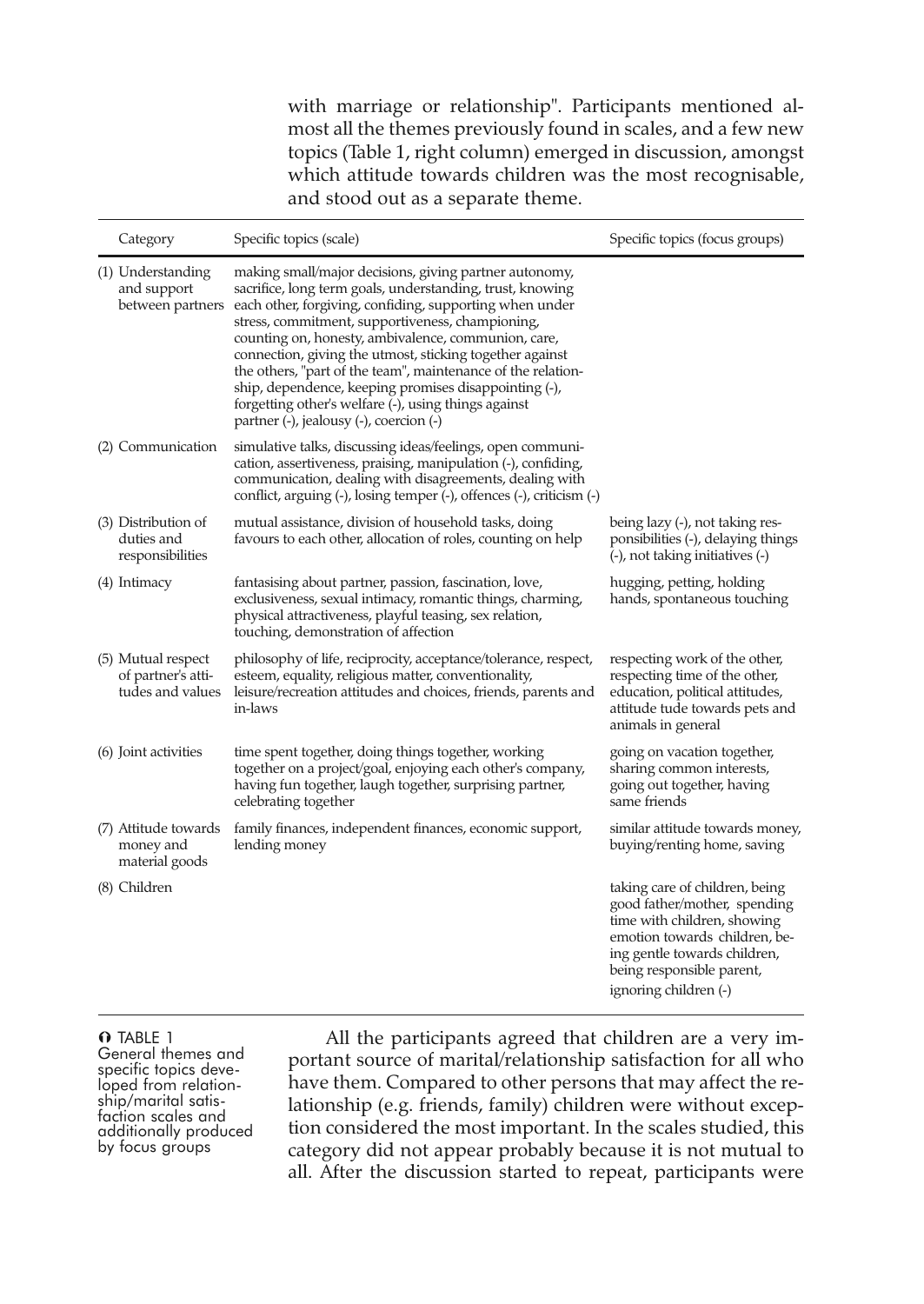with marriage or relationship". Participants mentioned almost all the themes previously found in scales, and a few new topics (Table 1, right column) emerged in discussion, amongst which attitude towards children was the most recognisable, and stood out as a separate theme.

| Category                                                     | Specific topics (scale)                                                                                                                                                                                                                                                                                                                                                                                                                                                                                                                                                           | Specific topics (focus groups)                                                                                                                                                                                       |
|--------------------------------------------------------------|-----------------------------------------------------------------------------------------------------------------------------------------------------------------------------------------------------------------------------------------------------------------------------------------------------------------------------------------------------------------------------------------------------------------------------------------------------------------------------------------------------------------------------------------------------------------------------------|----------------------------------------------------------------------------------------------------------------------------------------------------------------------------------------------------------------------|
| (1) Understanding<br>and support<br>between partners         | making small/major decisions, giving partner autonomy,<br>sacrifice, long term goals, understanding, trust, knowing<br>each other, forgiving, confiding, supporting when under<br>stress, commitment, supportiveness, championing,<br>counting on, honesty, ambivalence, communion, care,<br>connection, giving the utmost, sticking together against<br>the others, "part of the team", maintenance of the relation-<br>ship, dependence, keeping promises disappointing (-),<br>forgetting other's welfare (-), using things against<br>partner (-), jealousy (-), coercion (-) |                                                                                                                                                                                                                      |
| (2) Communication                                            | simulative talks, discussing ideas/feelings, open communi-<br>cation, assertiveness, praising, manipulation (-), confiding,<br>communication, dealing with disagreements, dealing with<br>conflict, arguing (-), losing temper (-), offences (-), criticism (-)                                                                                                                                                                                                                                                                                                                   |                                                                                                                                                                                                                      |
| (3) Distribution of<br>duties and<br>responsibilities        | mutual assistance, division of household tasks, doing<br>favours to each other, allocation of roles, counting on help                                                                                                                                                                                                                                                                                                                                                                                                                                                             | being lazy (-), not taking res-<br>ponsibilities (-), delaying things<br>(-), not taking initiatives (-)                                                                                                             |
| (4) Intimacy                                                 | fantasising about partner, passion, fascination, love,<br>exclusiveness, sexual intimacy, romantic things, charming,<br>physical attractiveness, playful teasing, sex relation,<br>touching, demonstration of affection                                                                                                                                                                                                                                                                                                                                                           | hugging, petting, holding<br>hands, spontaneous touching                                                                                                                                                             |
| (5) Mutual respect<br>of partner's atti-<br>tudes and values | philosophy of life, reciprocity, acceptance/tolerance, respect,<br>esteem, equality, religious matter, conventionality,<br>leisure/recreation attitudes and choices, friends, parents and<br>in-laws                                                                                                                                                                                                                                                                                                                                                                              | respecting work of the other,<br>respecting time of the other,<br>education, political attitudes,<br>attitude tude towards pets and<br>animals in general                                                            |
| (6) Joint activities                                         | time spent together, doing things together, working<br>together on a project/goal, enjoying each other's company,<br>having fun together, laugh together, surprising partner,<br>celebrating together                                                                                                                                                                                                                                                                                                                                                                             | going on vacation together,<br>sharing common interests,<br>going out together, having<br>same friends                                                                                                               |
| (7) Attitude towards<br>money and<br>material goods          | family finances, independent finances, economic support,<br>lending money                                                                                                                                                                                                                                                                                                                                                                                                                                                                                                         | similar attitude towards money,<br>buying/renting home, saving                                                                                                                                                       |
| (8) Children                                                 |                                                                                                                                                                                                                                                                                                                                                                                                                                                                                                                                                                                   | taking care of children, being<br>good father/mother, spending<br>time with children, showing<br>emotion towards children, be-<br>ing gentle towards children,<br>being responsible parent,<br>ignoring children (-) |

**O** TABLE 1<br>General themes and specific topics deve-<br>loped from relation-<br>ship/marital satis-<br>faction scales and<br>additionally produced by focus groups

All the participants agreed that children are a very important source of marital/relationship satisfaction for all who have them. Compared to other persons that may affect the relationship (e.g. friends, family) children were without exception considered the most important. In the scales studied, this category did not appear probably because it is not mutual to all. After the discussion started to repeat, participants were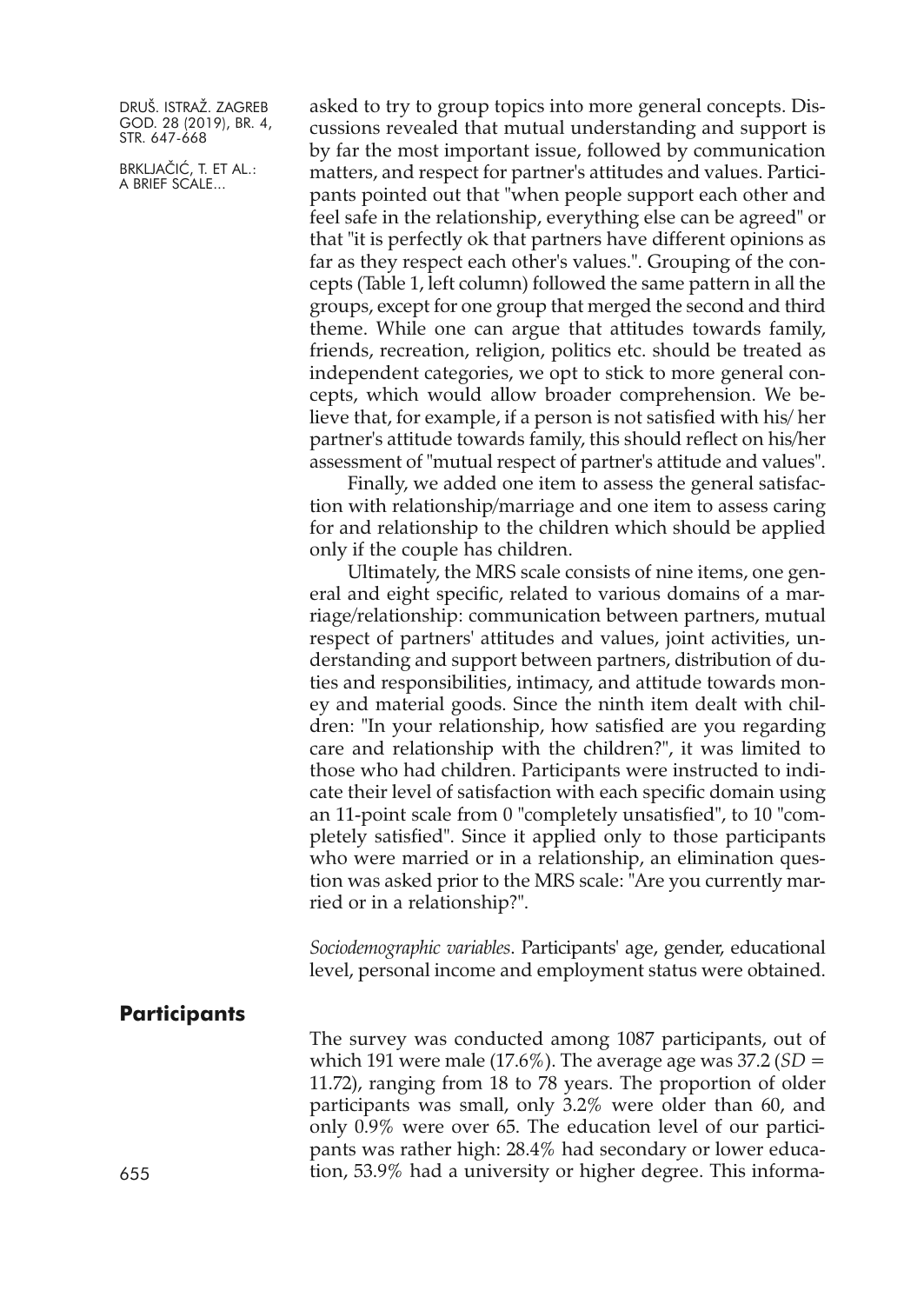BRKLJAČIĆ, T. ET AL.: A BRIEF SCALE...

asked to try to group topics into more general concepts. Discussions revealed that mutual understanding and support is by far the most important issue, followed by communication matters, and respect for partner's attitudes and values. Participants pointed out that "when people support each other and feel safe in the relationship, everything else can be agreed" or that "it is perfectly ok that partners have different opinions as far as they respect each other's values.". Grouping of the concepts (Table 1, left column) followed the same pattern in all the groups, except for one group that merged the second and third theme. While one can argue that attitudes towards family, friends, recreation, religion, politics etc. should be treated as independent categories, we opt to stick to more general concepts, which would allow broader comprehension. We believe that, for example, if a person is not satisfied with his/ her partner's attitude towards family, this should reflect on his/her assessment of "mutual respect of partner's attitude and values".

Finally, we added one item to assess the general satisfaction with relationship/marriage and one item to assess caring for and relationship to the children which should be applied only if the couple has children.

Ultimately, the MRS scale consists of nine items, one general and eight specific, related to various domains of a marriage/relationship: communication between partners, mutual respect of partners' attitudes and values, joint activities, understanding and support between partners, distribution of duties and responsibilities, intimacy, and attitude towards money and material goods. Since the ninth item dealt with children: "In your relationship, how satisfied are you regarding care and relationship with the children?", it was limited to those who had children. Participants were instructed to indicate their level of satisfaction with each specific domain using an 11-point scale from 0 "completely unsatisfied", to 10 "completely satisfied". Since it applied only to those participants who were married or in a relationship, an elimination question was asked prior to the MRS scale: "Are you currently married or in a relationship?".

*Sociodemographic variables*. Participants' age, gender, educational level, personal income and employment status were obtained.

#### **Participants**

The survey was conducted among 1087 participants, out of which 191 were male (17.6%). The average age was 37.2 (*SD* = 11.72), ranging from 18 to 78 years. The proportion of older participants was small, only 3.2% were older than 60, and only 0.9% were over 65. The education level of our participants was rather high: 28.4% had secondary or lower educa-655 tion, 53.9% had a university or higher degree. This informa-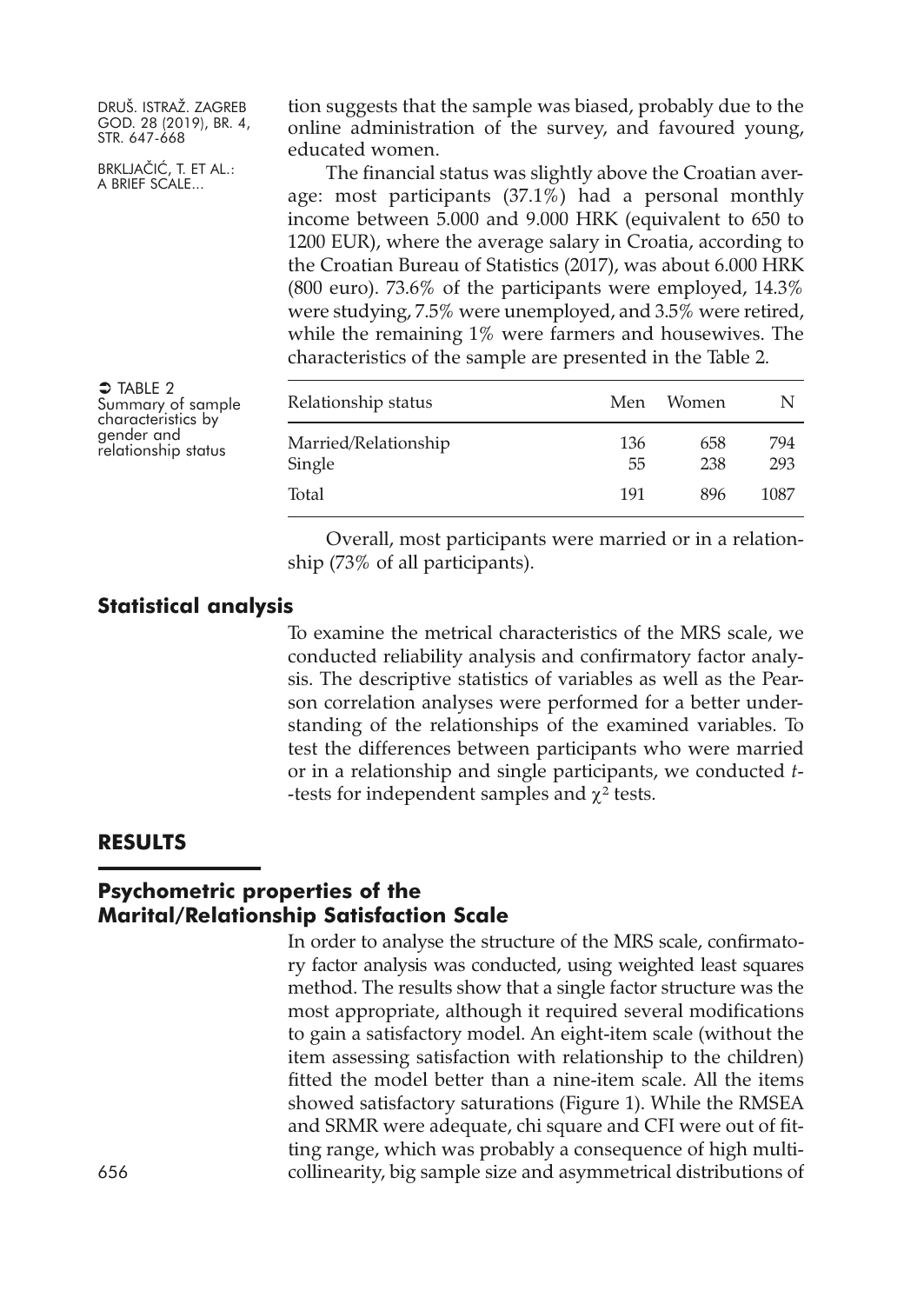BRKLJAČIĆ, T. ET AL.: A BRIEF SCALE...

 $\supset$  Table 2

Summary of sample characteristics by relationship status

tion suggests that the sample was biased, probably due to the online administration of the survey, and favoured young, educated women.

The financial status was slightly above the Croatian average: most participants (37.1%) had a personal monthly income between 5.000 and 9.000 HRK (equivalent to 650 to 1200 EUR), where the average salary in Croatia, according to the Croatian Bureau of Statistics (2017), was about 6.000 HRK (800 euro). 73.6% of the participants were employed, 14.3% were studying, 7.5% were unemployed, and 3.5% were retired, while the remaining 1% were farmers and housewives. The characteristics of the sample are presented in the Table 2.

| Relationship status            | Men       | Women      | N          |
|--------------------------------|-----------|------------|------------|
| Married/Relationship<br>Single | 136<br>55 | 658<br>238 | 794<br>293 |
| Total                          | 191       | 896        | 1087       |

Overall, most participants were married or in a relationship (73% of all participants).

# **Statistical analysis**

To examine the metrical characteristics of the MRS scale, we conducted reliability analysis and confirmatory factor analysis. The descriptive statistics of variables as well as the Pearson correlation analyses were performed for a better understanding of the relationships of the examined variables. To test the differences between participants who were married or in a relationship and single participants, we conducted *t- -tests for independent samples and*  $\chi^2$  *tests.* 

#### **RESULTS**

# **Psychometric properties of the Marital/Relationship Satisfaction Scale**

In order to analyse the structure of the MRS scale, confirmatory factor analysis was conducted, using weighted least squares method. The results show that a single factor structure was the most appropriate, although it required several modifications to gain a satisfactory model. An eight-item scale (without the item assessing satisfaction with relationship to the children) fitted the model better than a nine-item scale. All the items showed satisfactory saturations (Figure 1). While the RMSEA and SRMR were adequate, chi square and CFI were out of fitting range, which was probably a consequence of high multicollinearity, big sample size and asymmetrical distributions of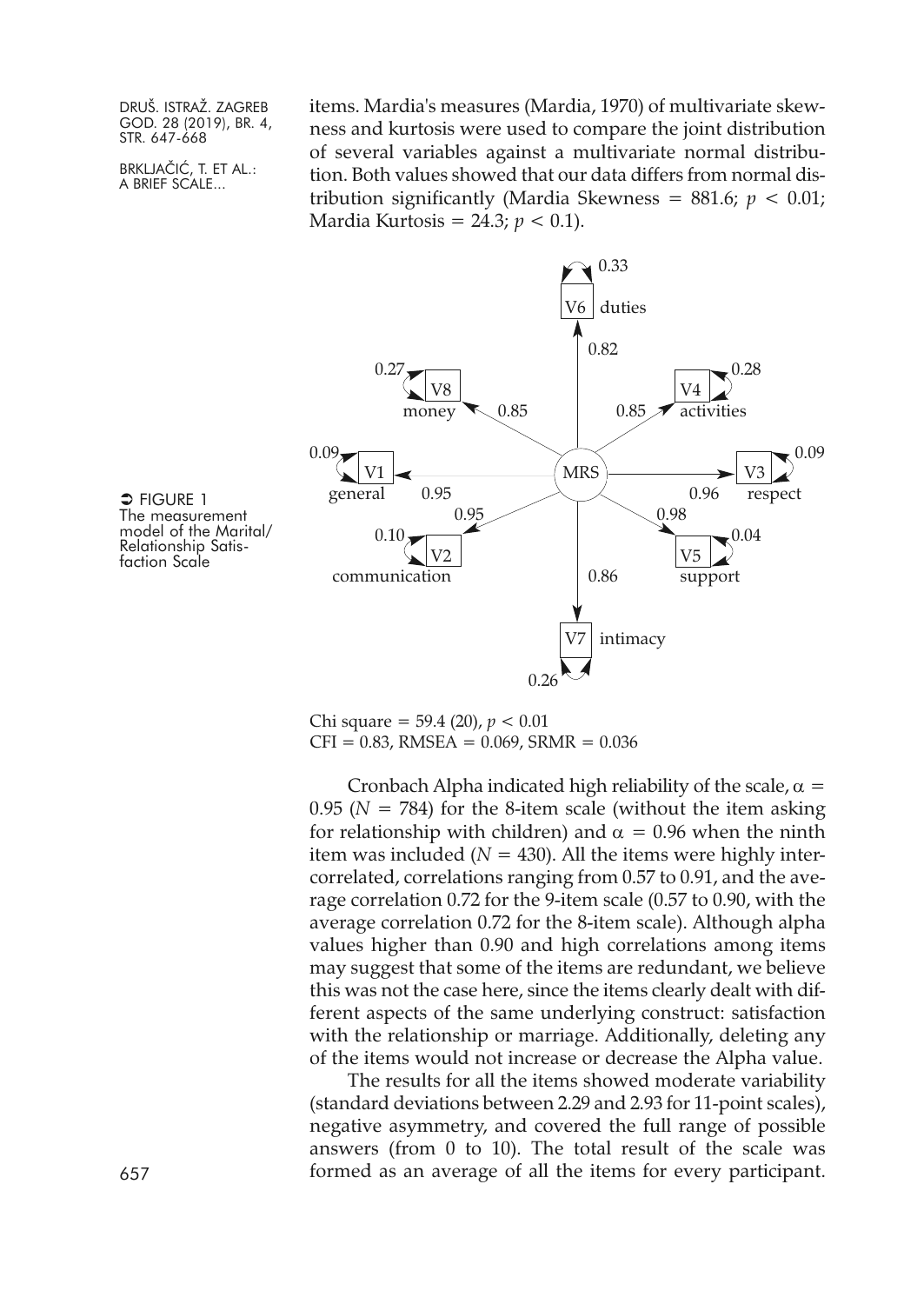BRKLJAČIĆ, T. ET AL.: A BRIEF SCALE...

items. Mardia's measures (Mardia, 1970) of multivariate skewness and kurtosis were used to compare the joint distribution of several variables against a multivariate normal distribution. Both values showed that our data differs from normal distribution significantly (Mardia Skewness = 881.6; *p <* 0.01; Mardia Kurtosis = 24.3; *p <* 0.1).



 $\supseteq$  Figure 1 The measurement model of the Marital/ Relationship Satis- faction Scale

> Chi square = 59.4 (20), *p* < 0.01  $CFI = 0.83$ , RMSEA = 0.069, SRMR = 0.036

Cronbach Alpha indicated high reliability of the scale,  $\alpha$  = 0.95 ( $N = 784$ ) for the 8-item scale (without the item asking for relationship with children) and  $\alpha = 0.96$  when the ninth item was included ( $N = 430$ ). All the items were highly intercorrelated, correlations ranging from 0.57 to 0.91, and the average correlation 0.72 for the 9-item scale (0.57 to 0.90, with the average correlation 0.72 for the 8-item scale). Although alpha values higher than 0.90 and high correlations among items may suggest that some of the items are redundant, we believe this was not the case here, since the items clearly dealt with different aspects of the same underlying construct: satisfaction with the relationship or marriage. Additionally, deleting any of the items would not increase or decrease the Alpha value.

The results for all the items showed moderate variability (standard deviations between 2.29 and 2.93 for 11-point scales), negative asymmetry, and covered the full range of possible answers (from 0 to 10). The total result of the scale was 657 formed as an average of all the items for every participant.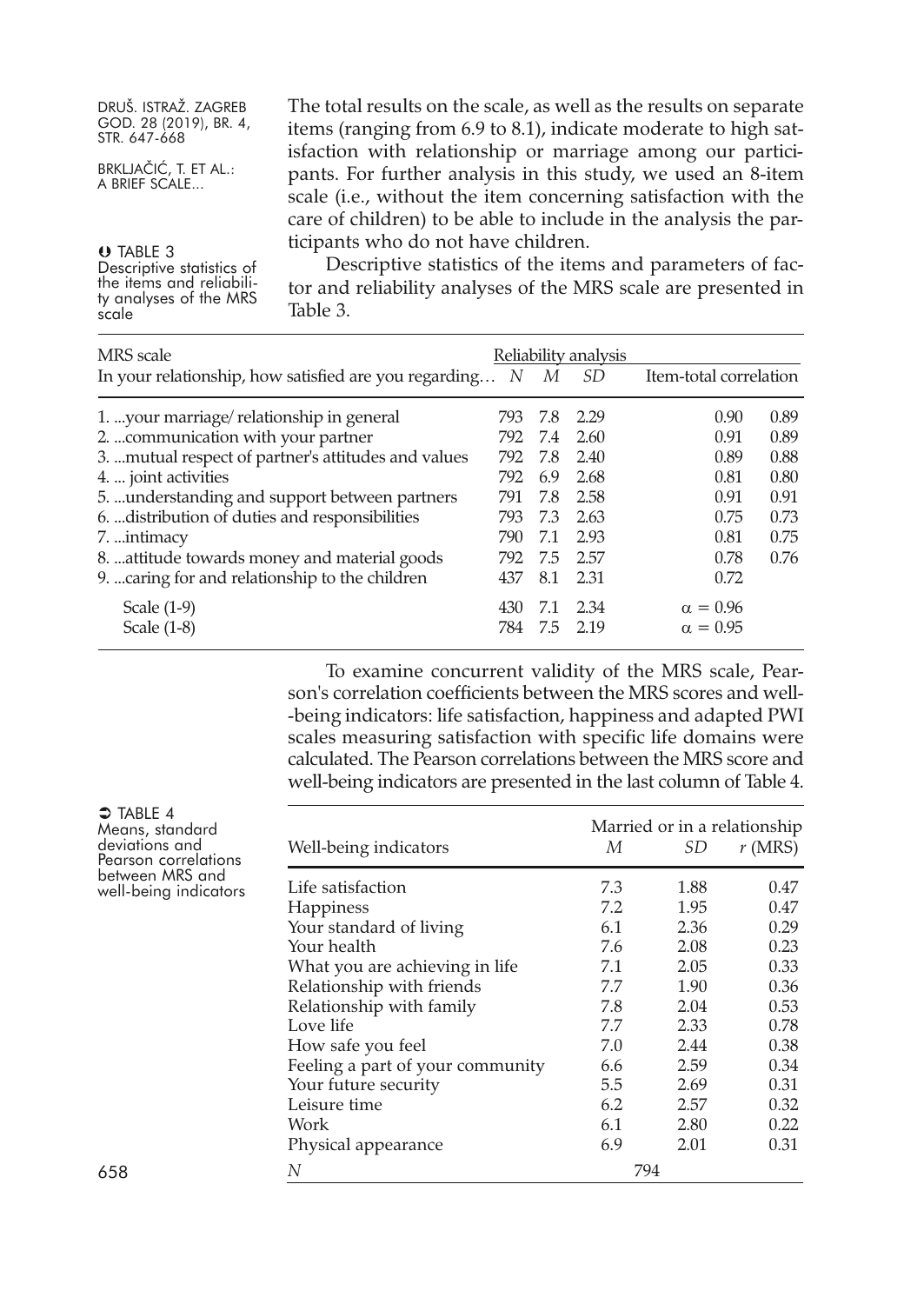| DRUŠ. ISTRAŽ. ZAGREB                               | The total results on the scale, as well as the results on separate |
|----------------------------------------------------|--------------------------------------------------------------------|
| GOD. 28 (2019), BR. 4,<br>STR. 647-668             | items (ranging from 6.9 to 8.1), indicate moderate to high sat-    |
|                                                    | isfaction with relationship or marriage among our partici-         |
| BRKLJAČIĆ, T. ET AL.:<br>A BRIEF SCALE             | pants. For further analysis in this study, we used an 8-item       |
|                                                    | scale (i.e., without the item concerning satisfaction with the     |
|                                                    | care of children) to be able to include in the analysis the par-   |
| O TABLE 3                                          | ticipants who do not have children.                                |
| Descriptive statistics of                          | Descriptive statistics of the items and parameters of fac-         |
| the items and reliabili-<br>ty analyses of the MRS | tor and reliability analyses of the MRS scale are presented in     |
| scale                                              | Table 3.                                                           |
|                                                    |                                                                    |

| MRS scale                                                 |      | Reliability analysis |              |                        |      |
|-----------------------------------------------------------|------|----------------------|--------------|------------------------|------|
| In your relationship, how satisfied are you regarding $N$ |      | М                    | <i>SD</i>    | Item-total correlation |      |
| 1.  your marriage/ relationship in general                | 793. |                      | 7.8 2.29     | 0.90                   | 0.89 |
| 2.  communication with your partner                       | 792  | 7.4                  | 2.60         | 0.91                   | 0.89 |
| 3.  mutual respect of partner's attitudes and values      | 792  |                      | 7.8 2.40     | 0.89                   | 0.88 |
| 4.  joint activities                                      | 792  | 6.9                  | 2.68         | 0.81                   | 0.80 |
| 5.  understanding and support between partners            | 791  | 7.8                  | 2.58         | 0.91                   | 0.91 |
| 6.  distribution of duties and responsibilities           | 793  | 7.3                  | 2.63         | 0.75                   | 0.73 |
| 7. intimacy                                               | 790. | 7.1                  | 2.93         | 0.81                   | 0.75 |
| 8.  attitude towards money and material goods             | 792  |                      | 7.5 2.57     | 0.78                   | 0.76 |
| 9.  caring for and relationship to the children           | 437  | 8.1                  | 2.31         | 0.72                   |      |
| Scale $(1-9)$                                             | 430  |                      | 7.1 2.34     | $\alpha = 0.96$        |      |
| Scale $(1-8)$                                             |      |                      | 784 7.5 2.19 | $\alpha = 0.95$        |      |

To examine concurrent validity of the MRS scale, Pearson's correlation coefficients between the MRS scores and well- -being indicators: life satisfaction, happiness and adapted PWI scales measuring satisfaction with specific life domains were calculated. The Pearson correlations between the MRS score and well-being indicators are presented in the last column of Table 4.

| $\Rightarrow$ TABLE 4<br>Means, standard | Married or in a relationship     |     |      |           |
|------------------------------------------|----------------------------------|-----|------|-----------|
| deviations and<br>Pearson correlations   | Well-being indicators            | М   | SD   | $r$ (MRS) |
| between MRS and<br>well-being indicators | Life satisfaction                |     | 1.88 | 0.47      |
|                                          | <b>Happiness</b>                 | 7.2 | 1.95 | 0.47      |
|                                          | Your standard of living          | 6.1 | 2.36 | 0.29      |
|                                          | Your health                      | 7.6 | 2.08 | 0.23      |
|                                          | What you are achieving in life   | 7.1 | 2.05 | 0.33      |
|                                          | Relationship with friends        | 7.7 | 1.90 | 0.36      |
|                                          | Relationship with family         | 7.8 | 2.04 | 0.53      |
|                                          | Love life                        | 7.7 | 2.33 | 0.78      |
|                                          | How safe you feel                | 7.0 | 2.44 | 0.38      |
|                                          | Feeling a part of your community | 6.6 | 2.59 | 0.34      |
|                                          | Your future security             | 5.5 | 2.69 | 0.31      |
|                                          | Leisure time                     | 6.2 | 2.57 | 0.32      |
|                                          | Work                             | 6.1 | 2.80 | 0.22      |
|                                          | Physical appearance              | 6.9 | 2.01 | 0.31      |
| 658                                      | N                                | 794 |      |           |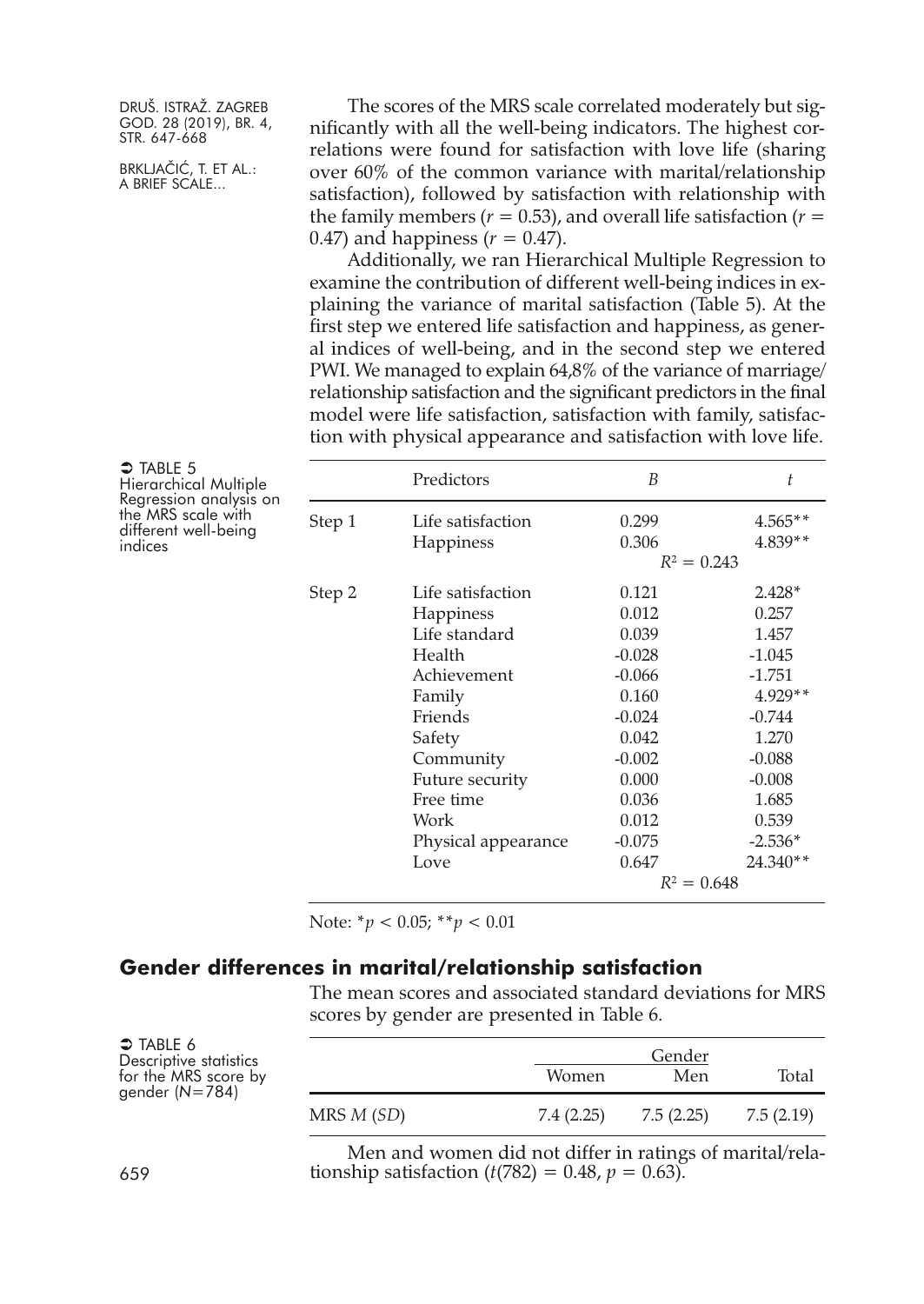BRKLJAČIĆ, T. ET AL.: A BRIEF SCALE...

The scores of the MRS scale correlated moderately but significantly with all the well-being indicators. The highest correlations were found for satisfaction with love life (sharing over 60% of the common variance with marital/relationship satisfaction), followed by satisfaction with relationship with the family members ( $r = 0.53$ ), and overall life satisfaction ( $r =$ 0.47) and happiness  $(r = 0.47)$ .

Additionally, we ran Hierarchical Multiple Regression to examine the contribution of different well-being indices in explaining the variance of marital satisfaction (Table 5). At the first step we entered life satisfaction and happiness, as general indices of well-being, and in the second step we entered PWI. We managed to explain 64,8% of the variance of marriage/ relationship satisfaction and the significant predictors in the final model were life satisfaction, satisfaction with family, satisfaction with physical appearance and satisfaction with love life.

| $\bigcirc$ TABLE 5<br>Hierarchical Multiple                          |        | Predictors          | B             | t         |
|----------------------------------------------------------------------|--------|---------------------|---------------|-----------|
| Regression analysis on<br>the MRS scale with<br>different well-being | Step 1 | Life satisfaction   | 0.299         | $4.565**$ |
| indices                                                              |        | Happiness           | 0.306         | $4.839**$ |
|                                                                      |        | $R^2 = 0.243$       |               |           |
|                                                                      | Step 2 | Life satisfaction   | 0.121         | $2.428*$  |
|                                                                      |        | <b>Happiness</b>    | 0.012         | 0.257     |
|                                                                      |        | Life standard       | 0.039         | 1.457     |
|                                                                      |        | Health              | $-0.028$      | $-1.045$  |
|                                                                      |        | Achievement         | $-0.066$      | $-1.751$  |
|                                                                      |        | Family              | 0.160         | $4.929**$ |
|                                                                      |        | Friends             | $-0.024$      | $-0.744$  |
|                                                                      |        | Safety              | 0.042         | 1.270     |
|                                                                      |        | Community           | $-0.002$      | $-0.088$  |
|                                                                      |        | Future security     | 0.000         | $-0.008$  |
|                                                                      |        | Free time           | 0.036         | 1.685     |
|                                                                      |        | Work                | 0.012         | 0.539     |
|                                                                      |        | Physical appearance | $-0.075$      | $-2.536*$ |
|                                                                      |        | Love                | 0.647         | 24.340**  |
|                                                                      |        |                     | $R^2 = 0.648$ |           |

Note: \**p <* 0.05; \*\**p <* 0.01

#### **Gender differences in marital/relationship satisfaction**

The mean scores and associated standard deviations for MRS scores by gender are presented in Table 6.

| $\bigcirc$ TABLE 6<br>Descriptive statistics<br>for the MRS score by<br>gender $(N=784)$ | Gender<br>Women<br>Men<br>Total |                                                          |            |            |  |  |
|------------------------------------------------------------------------------------------|---------------------------------|----------------------------------------------------------|------------|------------|--|--|
|                                                                                          | MRS M (SD)                      | 7.4 (2.25)                                               | 7.5 (2.25) | 7.5 (2.19) |  |  |
|                                                                                          |                                 | Men and women did not differ in ratings of marital/rela- |            |            |  |  |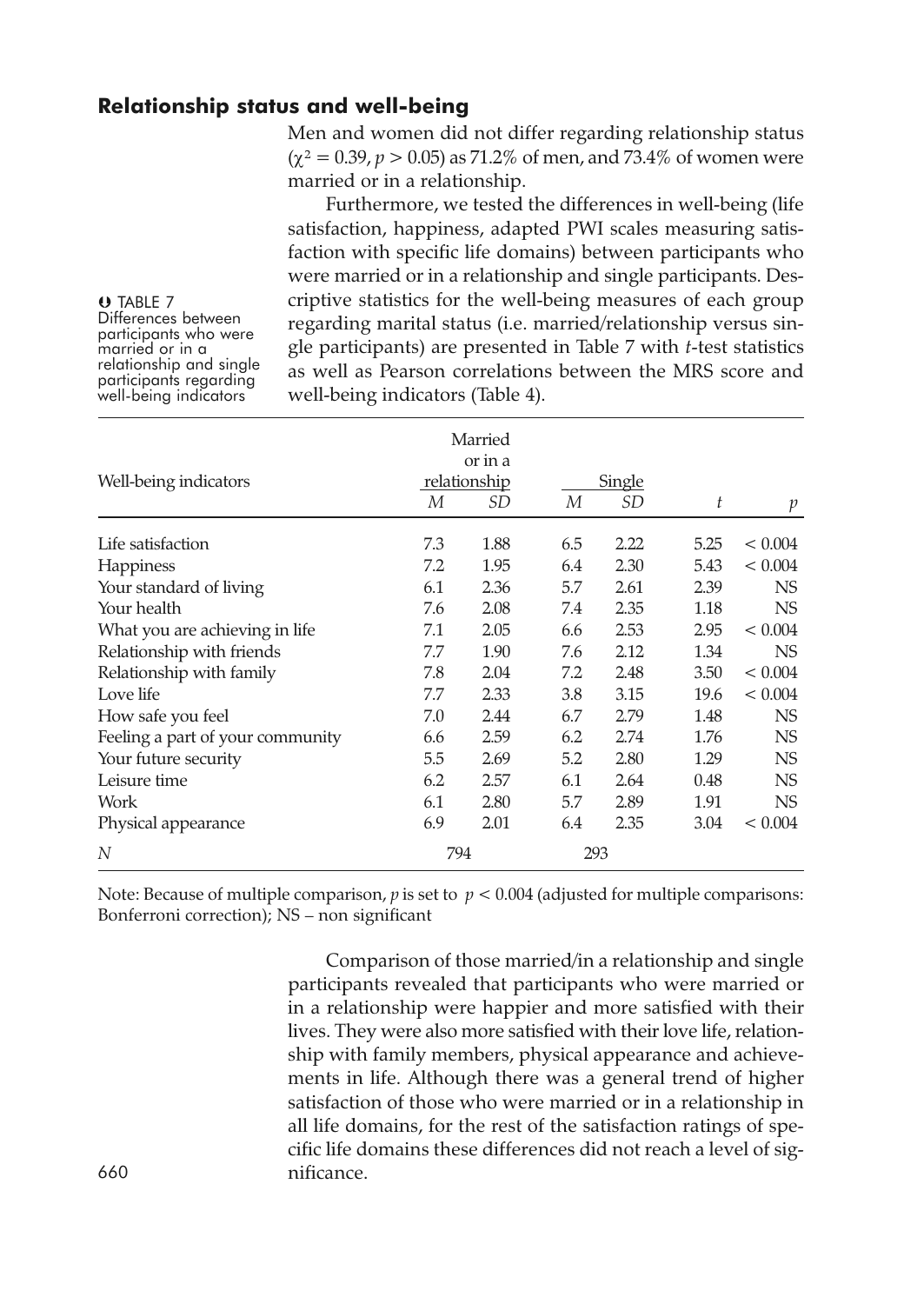# **Relationship status and well-being**

Men and women did not differ regarding relationship status  $(y^2 = 0.39, p > 0.05)$  as 71.2% of men, and 73.4% of women were married or in a relationship.

Furthermore, we tested the differences in well-being (life satisfaction, happiness, adapted PWI scales measuring satisfaction with specific life domains) between participants who were married or in a relationship and single participants. Descriptive statistics for the well-being measures of each group regarding marital status (i.e. married/relationship versus single participants) are presented in Table 7 with *t-*test statistics as well as Pearson correlations between the MRS score and well-being indicators (Table 4).

Married or in a Well-being indicators relationship Single *M SD M SD t p* Life satisfaction 7.3 1.88 6.5 2.22 5.25 < 0.004 Happiness 7.2 1.95 6.4 2.30 5.43 < 0.004 Your standard of living 6.1 2.36 5.7 2.61 2.39 NS Your health 7.6 2.08 7.4 2.35 1.18 NS What you are achieving in life  $7.1$   $2.05$   $6.6$   $2.53$   $2.95$   $< 0.004$ Relationship with friends 7.7 1.90 7.6 2.12 1.34 NS Relationship with family 7.8 2.04 7.2 2.48 3.50 < 0.004 Love life 7.7 2.33 3.8 3.15 19.6 < 0.004 How safe you feel 7.0 2.44 6.7 2.79 1.48 NS Feeling a part of your community  $6.6$   $2.59$   $6.2$   $2.74$   $1.76$  NS Your future security 5.5 2.69 5.2 2.80 1.29 NS Leisure time 6.2 2.57 6.1 2.64 0.48 NS Work 6.1 2.80 5.7 2.89 1.91 NS Physical appearance 6.9 2.01 6.4 2.35 3.04 < 0.004 *N* 794 293

Note: Because of multiple comparison,  $p$  is set to  $p < 0.004$  (adjusted for multiple comparisons: Bonferroni correction); NS – non significant

Comparison of those married/in a relationship and single participants revealed that participants who were married or in a relationship were happier and more satisfied with their lives. They were also more satisfied with their love life, relationship with family members, physical appearance and achievements in life. Although there was a general trend of higher satisfaction of those who were married or in a relationship in all life domains, for the rest of the satisfaction ratings of specific life domains these differences did not reach a level of sig-660 nificance.

**U** TABLE 7<br>Differences between participants who were<br>married or in a<br>relationship and single<br>participants regarding<br>well-being indicators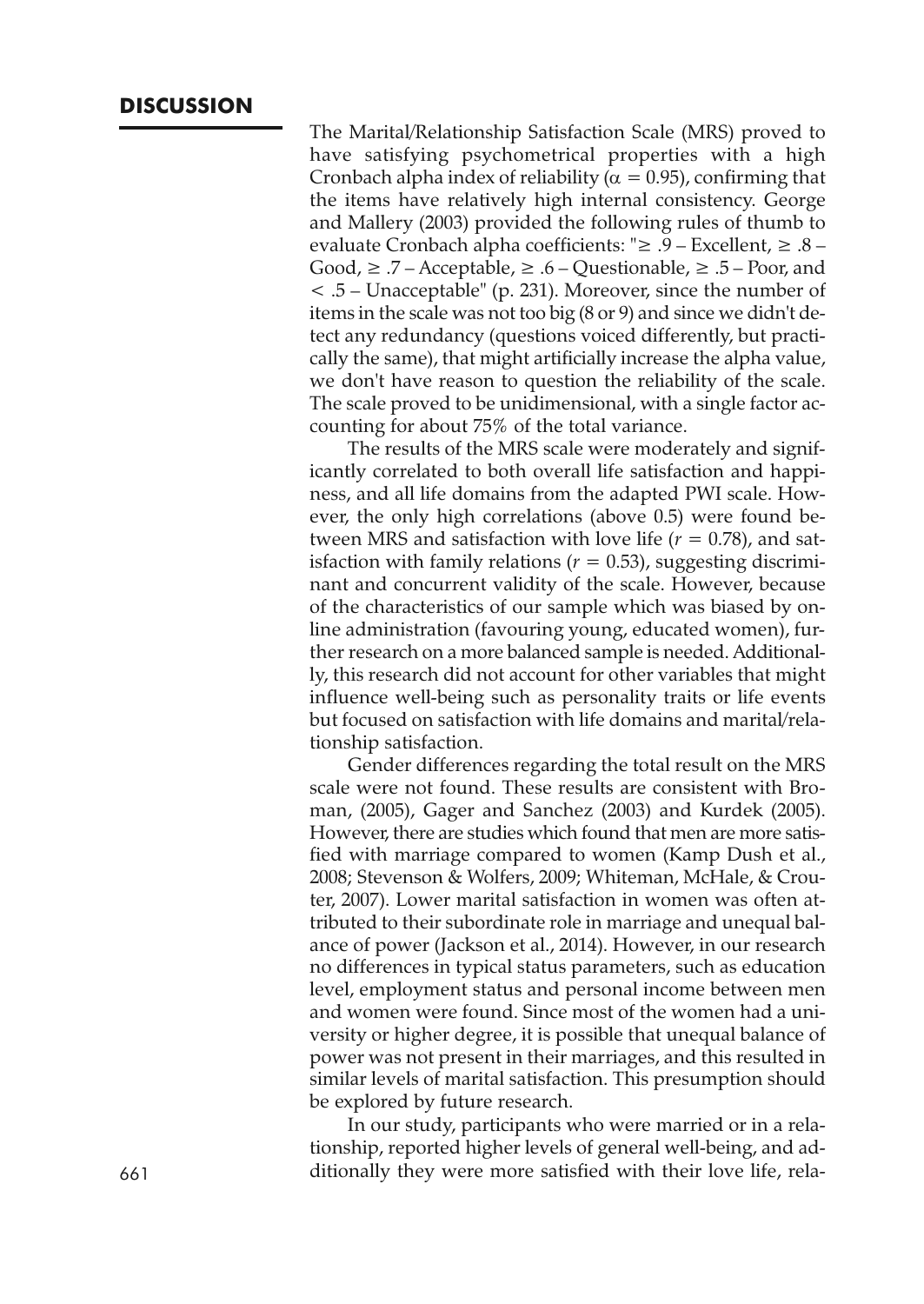The Marital/Relationship Satisfaction Scale (MRS) proved to have satisfying psychometrical properties with a high Cronbach alpha index of reliability ( $\alpha = 0.95$ ), confirming that the items have relatively high internal consistency. George and Mallery (2003) provided the following rules of thumb to evaluate Cronbach alpha coefficients: "≥ .9 – Excellent, ≥ .8 – Good,  $\geq$  .7 – Acceptable,  $\geq$  .6 – Questionable,  $\geq$  .5 – Poor, and < .5 – Unacceptable" (p. 231). Moreover, since the number of items in the scale was not too big (8 or 9) and since we didn't detect any redundancy (questions voiced differently, but practically the same), that might artificially increase the alpha value, we don't have reason to question the reliability of the scale. The scale proved to be unidimensional, with a single factor accounting for about 75% of the total variance.

The results of the MRS scale were moderately and significantly correlated to both overall life satisfaction and happiness, and all life domains from the adapted PWI scale. However, the only high correlations (above 0.5) were found between MRS and satisfaction with love life  $(r = 0.78)$ , and satisfaction with family relations  $(r = 0.53)$ , suggesting discriminant and concurrent validity of the scale. However, because of the characteristics of our sample which was biased by online administration (favouring young, educated women), further research on a more balanced sample is needed. Additionally, this research did not account for other variables that might influence well-being such as personality traits or life events but focused on satisfaction with life domains and marital/relationship satisfaction.

Gender differences regarding the total result on the MRS scale were not found. These results are consistent with Broman, (2005), Gager and Sanchez (2003) and Kurdek (2005). However, there are studies which found that men are more satisfied with marriage compared to women (Kamp Dush et al., 2008; Stevenson & Wolfers, 2009; Whiteman, McHale, & Crouter, 2007). Lower marital satisfaction in women was often attributed to their subordinate role in marriage and unequal balance of power (Jackson et al., 2014). However, in our research no differences in typical status parameters, such as education level, employment status and personal income between men and women were found. Since most of the women had a university or higher degree, it is possible that unequal balance of power was not present in their marriages, and this resulted in similar levels of marital satisfaction. This presumption should be explored by future research.

In our study, participants who were married or in a relationship, reported higher levels of general well-being, and ad-661 ditionally they were more satisfied with their love life, rela-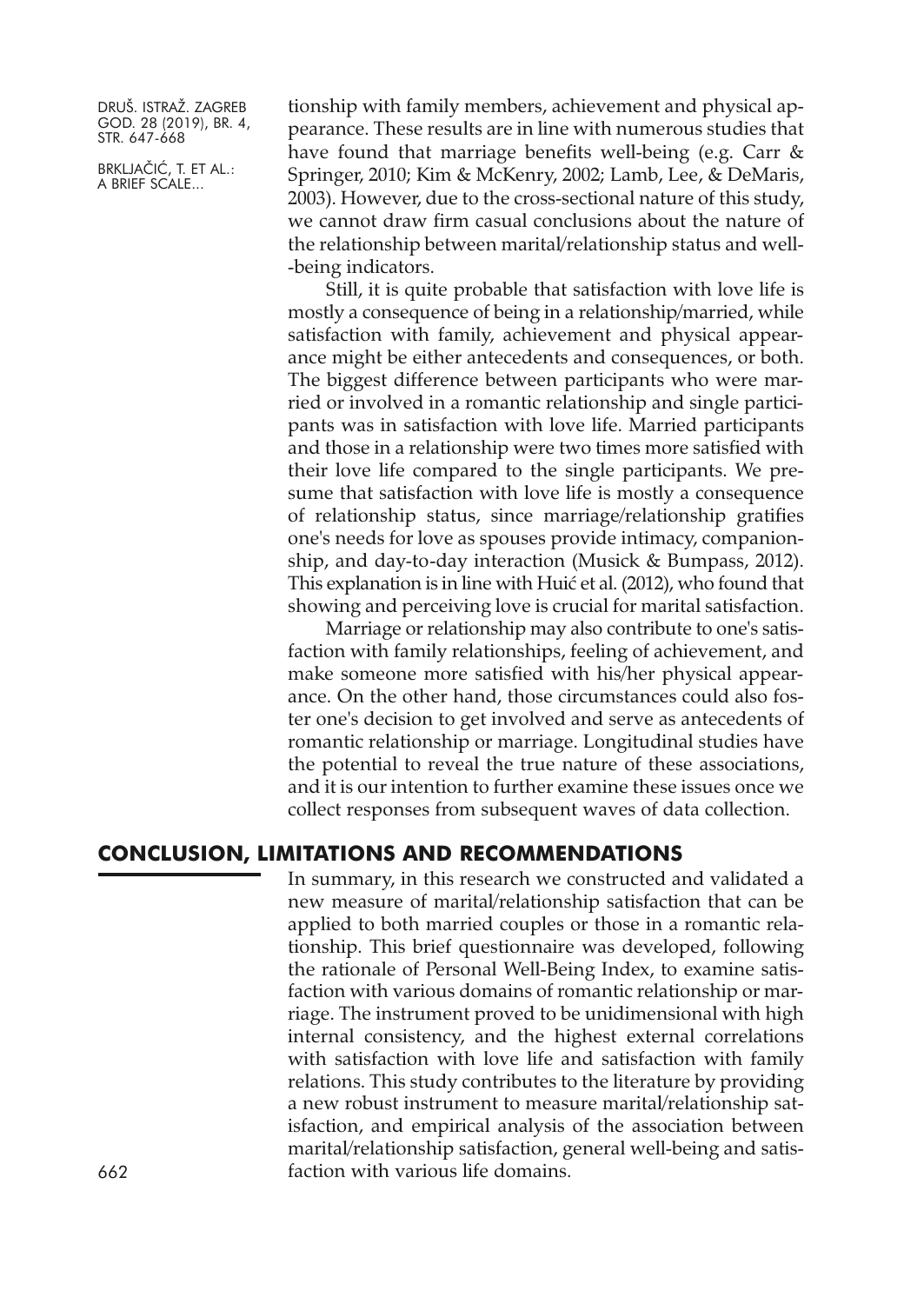BRKLJAČIĆ, T. ET AL.: A BRIEF SCALE...

tionship with family members, achievement and physical appearance. These results are in line with numerous studies that have found that marriage benefits well-being (e.g. Carr  $\&$ Springer, 2010; Kim & McKenry, 2002; Lamb, Lee, & DeMaris, 2003). However, due to the cross-sectional nature of this study, we cannot draw firm casual conclusions about the nature of the relationship between marital/relationship status and well- -being indicators.

Still, it is quite probable that satisfaction with love life is mostly a consequence of being in a relationship/married, while satisfaction with family, achievement and physical appearance might be either antecedents and consequences, or both. The biggest difference between participants who were married or involved in a romantic relationship and single participants was in satisfaction with love life. Married participants and those in a relationship were two times more satisfied with their love life compared to the single participants. We presume that satisfaction with love life is mostly a consequence of relationship status, since marriage/relationship gratifies one's needs for love as spouses provide intimacy, companionship, and day-to-day interaction (Musick & Bumpass, 2012). This explanation is in line with Huić et al. (2012), who found that showing and perceiving love is crucial for marital satisfaction.

Marriage or relationship may also contribute to one's satisfaction with family relationships, feeling of achievement, and make someone more satisfied with his/her physical appearance. On the other hand, those circumstances could also foster one's decision to get involved and serve as antecedents of romantic relationship or marriage. Longitudinal studies have the potential to reveal the true nature of these associations, and it is our intention to further examine these issues once we collect responses from subsequent waves of data collection.

# **CONCLUSION, LIMITATIONS AND RECOMMENDATIONS**

In summary, in this research we constructed and validated a new measure of marital/relationship satisfaction that can be applied to both married couples or those in a romantic relationship. This brief questionnaire was developed, following the rationale of Personal Well-Being Index, to examine satisfaction with various domains of romantic relationship or marriage. The instrument proved to be unidimensional with high internal consistency, and the highest external correlations with satisfaction with love life and satisfaction with family relations. This study contributes to the literature by providing a new robust instrument to measure marital/relationship satisfaction, and empirical analysis of the association between marital/relationship satisfaction, general well-being and satisfaction with various life domains.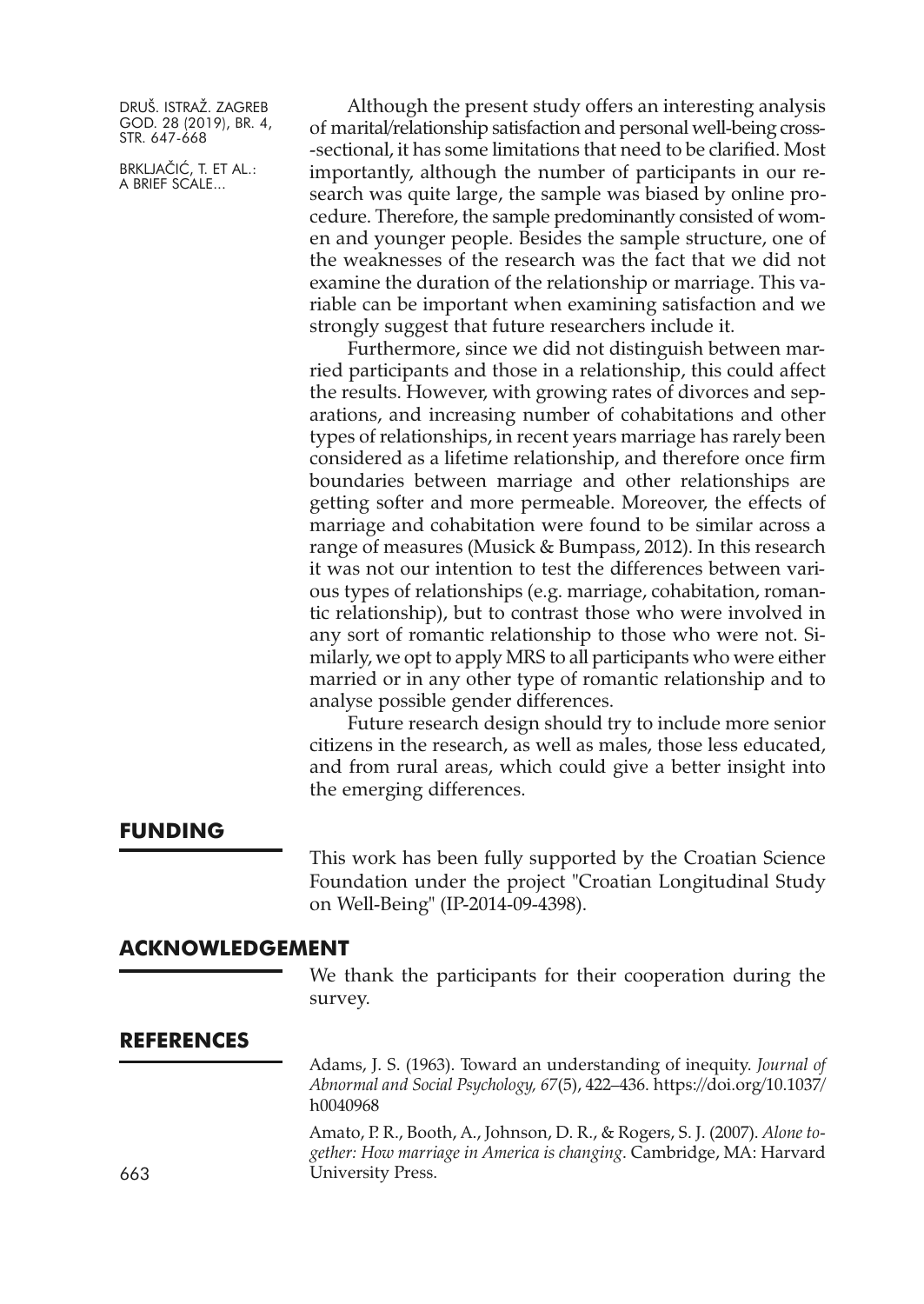BRKLJAČIĆ, T. ET AL.: A BRIEF SCALE...

Although the present study offers an interesting analysis of marital/relationship satisfaction and personal well-being cross- -sectional, it has some limitations that need to be clarified. Most importantly, although the number of participants in our research was quite large, the sample was biased by online procedure. Therefore, the sample predominantly consisted of women and younger people. Besides the sample structure, one of the weaknesses of the research was the fact that we did not examine the duration of the relationship or marriage. This variable can be important when examining satisfaction and we strongly suggest that future researchers include it.

Furthermore, since we did not distinguish between married participants and those in a relationship, this could affect the results. However, with growing rates of divorces and separations, and increasing number of cohabitations and other types of relationships, in recent years marriage has rarely been considered as a lifetime relationship, and therefore once firm boundaries between marriage and other relationships are getting softer and more permeable. Moreover, the effects of marriage and cohabitation were found to be similar across a range of measures (Musick & Bumpass, 2012). In this research it was not our intention to test the differences between various types of relationships (e.g. marriage, cohabitation, romantic relationship), but to contrast those who were involved in any sort of romantic relationship to those who were not. Similarly, we opt to apply MRS to all participants who were either married or in any other type of romantic relationship and to analyse possible gender differences.

Future research design should try to include more senior citizens in the research, as well as males, those less educated, and from rural areas, which could give a better insight into the emerging differences.

#### **FUNDING**

This work has been fully supported by the Croatian Science Foundation under the project "Croatian Longitudinal Study on Well-Being" (IP-2014-09-4398).

#### **ACKNOWLEDGEMENT**

We thank the participants for their cooperation during the survey.

# **REFERENCES**

Adams, J. S. (1963). Toward an understanding of inequity. *Journal of Abnormal and Social Psychology, 67*(5), 422–436. [https://doi.org/10.1037/](https://doi.org/10.1037/h0040968) [h0040968](https://doi.org/10.1037/h0040968)

Amato, P. R., Booth, A., Johnson, D. R., & Rogers, S. J. (2007). *Alone together: How marriage in America is changing*. Cambridge, MA: Harvard 663 University Press.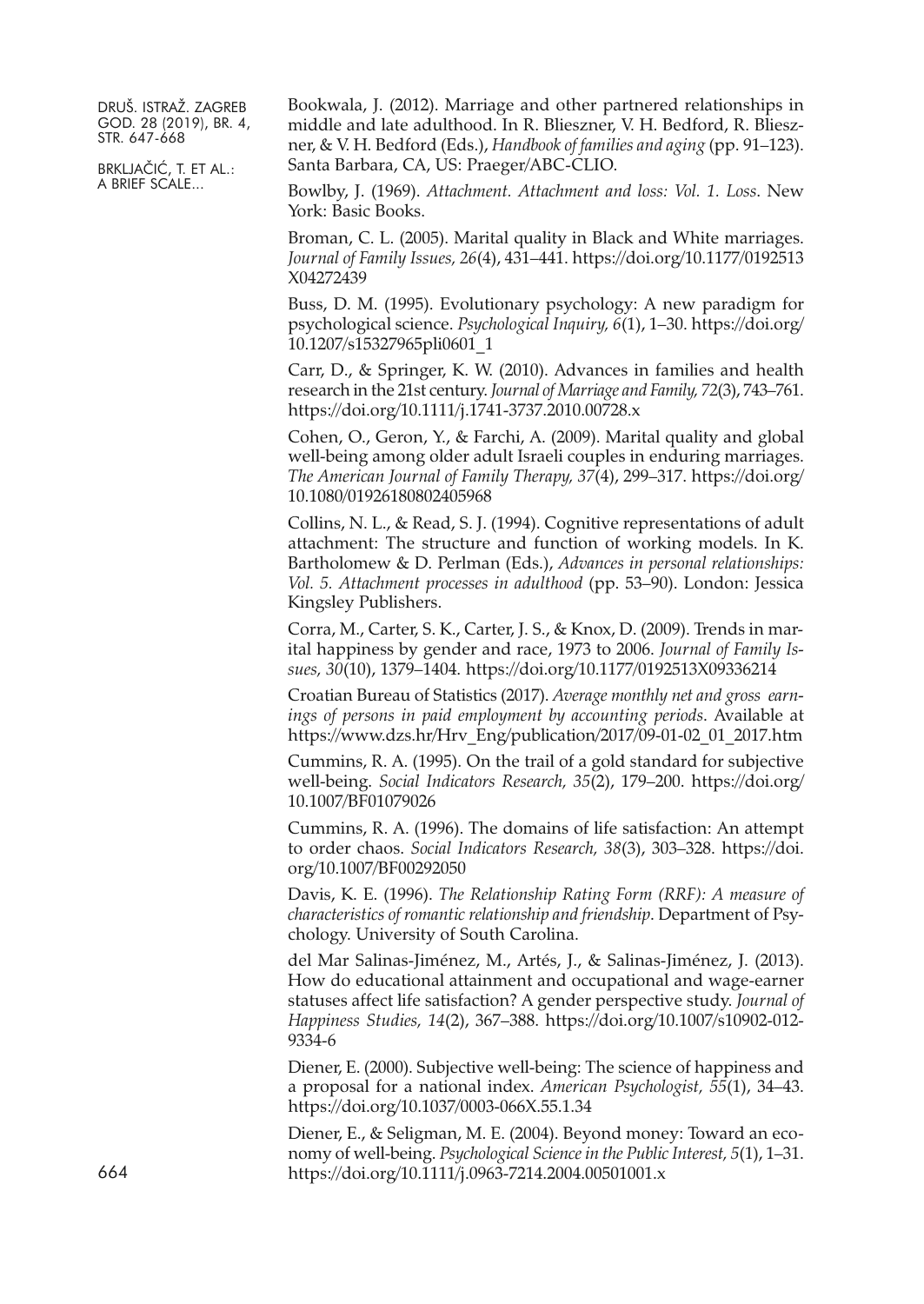BRKLJAČIĆ, T. ET AL.: A BRIEF SCALE...

Bookwala, J. (2012). Marriage and other partnered relationships in middle and late adulthood. In R. Blieszner, V. H. Bedford, R. Blieszner, & V. H. Bedford (Eds.), *Handbook of families and aging* (pp. 91–123). Santa Barbara, CA, US: Praeger/ABC-CLIO.

Bowlby, J. (1969). *Attachment. Attachment and loss: Vol. 1. Loss*. New York: Basic Books.

Broman, C. L. (2005). Marital quality in Black and White marriages. *Journal of Family Issues, 26*(4), 431–441. [https://doi.org/10.1177/0192513](https://doi.org/10.1177/0192513X04272439) [X04272439](https://doi.org/10.1177/0192513X04272439)

Buss, D. M. (1995). Evolutionary psychology: A new paradigm for psychological science. *Psychological Inquiry, 6*(1), 1–30. [https://doi.org/](https://doi.org/10.1207/s15327965pli0601_1) [10.1207/s15327965pli0601\\_1](https://doi.org/10.1207/s15327965pli0601_1)

Carr, D., & Springer, K. W. (2010). Advances in families and health research in the 21st century. *Journal of Marriage and Family, 72*(3), 743–761. <https://doi.org/10.1111/j.1741-3737.2010.00728.x>

Cohen, O., Geron, Y., & Farchi, A. (2009). Marital quality and global well-being among older adult Israeli couples in enduring marriages. *The American Journal of Family Therapy, 37*(4), 299–317. [https://doi.org/](https://doi.org/10.1080/01926180802405968) [10.1080/01926180802405968](https://doi.org/10.1080/01926180802405968)

Collins, N. L., & Read, S. J. (1994). Cognitive representations of adult attachment: The structure and function of working models. In K. Bartholomew & D. Perlman (Eds.), *Advances in personal relationships: Vol. 5. Attachment processes in adulthood* (pp. 53–90). London: Jessica Kingsley Publishers.

Corra, M., Carter, S. K., Carter, J. S., & Knox, D. (2009). Trends in marital happiness by gender and race, 1973 to 2006. *Journal of Family Issues, 30*(10), 1379–1404. <https://doi.org/10.1177/0192513X09336214>

Croatian Bureau of Statistics (2017). *Average monthly net and gross earnings of persons in paid employment by accounting periods*. Available at [https://www.dzs.hr/Hrv\\_Eng/publication/2017/09-01-02\\_01\\_2017.htm](https://www.dzs.hr/Hrv_Eng/publication/2017/09-01-02_01_2017.htm)

Cummins, R. A. (1995). On the trail of a gold standard for subjective well-being. *Social Indicators Research, 35*(2), 179–200. [https://doi.org/](https://doi.org/10.1007/BF01079026) [10.1007/BF01079026](https://doi.org/10.1007/BF01079026)

Cummins, R. A. (1996). The domains of life satisfaction: An attempt to order chaos. *Social Indicators Research, 38*(3), 303–328. [https://doi.](https://doi.org/10.1007/BF00292050) [org/10.1007/BF00292050](https://doi.org/10.1007/BF00292050)

Davis, K. E. (1996). *The Relationship Rating Form (RRF): A measure of characteristics of romantic relationship and friendship*. Department of Psychology. University of South Carolina.

del Mar Salinas-Jiménez, M., Artés, J., & Salinas-Jiménez, J. (2013). How do educational attainment and occupational and wage-earner statuses affect life satisfaction? A gender perspective study. *Journal of Happiness Studies, 14*(2), 367–388. [https://doi.org/10.1007/s10902-012-](https://doi.org/10.1007/s10902-012-9334-6) [9334-6](https://doi.org/10.1007/s10902-012-9334-6)

Diener, E. (2000). Subjective well-being: The science of happiness and a proposal for a national index. *American Psychologist, 55*(1), 34–43. <https://doi.org/10.1037/0003-066X.55.1.34>

Diener, E., & Seligman, M. E. (2004). Beyond money: Toward an economy of well-being. *Psychological Science in the Public Interest, 5*(1), 1–31. <https://doi.org/10.1111/j.0963-7214.2004.00501001.x>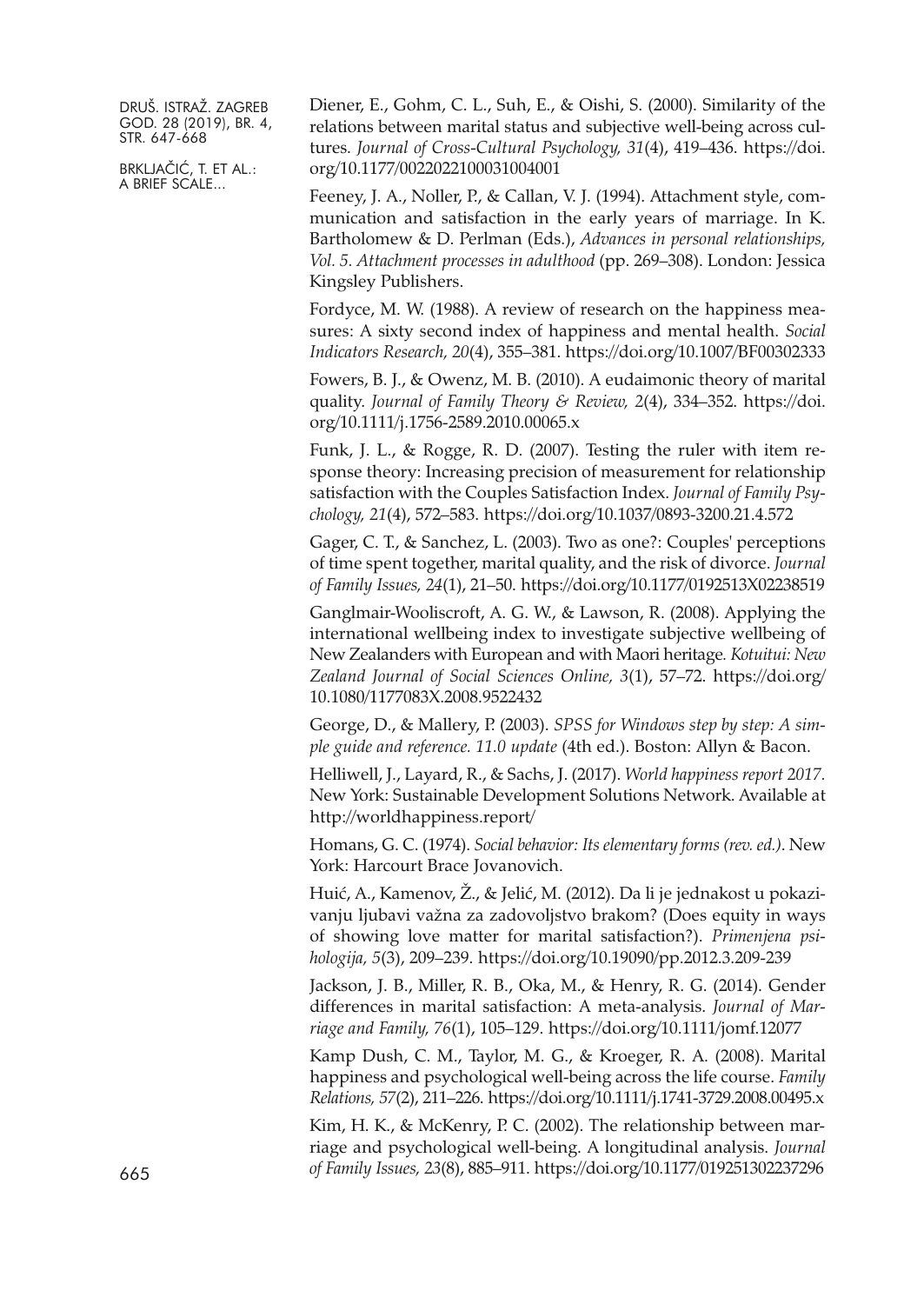BRKLJAČIĆ, T. ET AL.: A BRIEF SCALE...

Diener, E., Gohm, C. L., Suh, E., & Oishi, S. (2000). Similarity of the relations between marital status and subjective well-being across cultures. *Journal of Cross-Cultural Psychology, 31*(4), 419–436. [https://doi.](https://doi.org/10.1177/0022022100031004001) [org/10.1177/0022022100031004001](https://doi.org/10.1177/0022022100031004001)

Feeney, J. A., Noller, P., & Callan, V. J. (1994). Attachment style, communication and satisfaction in the early years of marriage. In K. Bartholomew & D. Perlman (Eds.), *Advances in personal relationships, Vol. 5. Attachment processes in adulthood* (pp. 269–308). London: Jessica Kingsley Publishers.

Fordyce, M. W. (1988). A review of research on the happiness measures: A sixty second index of happiness and mental health. *Social Indicators Research, 20*(4), 355–381. <https://doi.org/10.1007/BF00302333>

Fowers, B. J., & Owenz, M. B. (2010). A eudaimonic theory of marital quality. *Journal of Family Theory & Review, 2*(4), 334–352. [https://doi.](https://doi.org/10.1111/j.1756-2589.2010.00065.x) [org/10.1111/j.1756-2589.2010.00065.x](https://doi.org/10.1111/j.1756-2589.2010.00065.x)

Funk, J. L., & Rogge, R. D. (2007). Testing the ruler with item response theory: Increasing precision of measurement for relationship satisfaction with the Couples Satisfaction Index. *Journal of Family Psychology, 21*(4), 572–583. <https://doi.org/10.1037/0893-3200.21.4.572>

Gager, C. T., & Sanchez, L. (2003). Two as one?: Couples' perceptions of time spent together, marital quality, and the risk of divorce. *Journal of Family Issues, 24*(1), 21–50. <https://doi.org/10.1177/0192513X02238519>

Ganglmair-Wooliscroft, A. G. W., & Lawson, R. (2008). Applying the international wellbeing index to investigate subjective wellbeing of New Zealanders with European and with Maori heritage*. Kotuitui: New Zealand Journal of Social Sciences Online, 3*(1), 57–72. [https://doi.org/](https://doi.org/10.1080/1177083X.2008.9522432) [10.1080/1177083X.2008.9522432](https://doi.org/10.1080/1177083X.2008.9522432)

George, D., & Mallery, P. (2003). *SPSS for Windows step by step: A simple guide and reference. 11.0 update* (4th ed.). Boston: Allyn & Bacon.

Helliwell, J., Layard, R., & Sachs, J. (2017). *World happiness report 2017.* New York: Sustainable Development Solutions Network. Available at [http://worldhappiness.report/](http://worldhappiness.report)

Homans, G. C. (1974). *Social behavior: Its elementary forms (rev. ed.)*. New York: Harcourt Brace Jovanovich.

Huić, A., Kamenov, Ž., & Jelić, M. (2012). Da li je jednakost u pokazivanju ljubavi važna za zadovoljstvo brakom? (Does equity in ways of showing love matter for marital satisfaction?). *Primenjena psihologija, 5*(3), 209–239. <https://doi.org/10.19090/pp.2012.3.209-239>

Jackson, J. B., Miller, R. B., Oka, M., & Henry, R. G. (2014). Gender differences in marital satisfaction: A meta-analysis. *Journal of Marriage and Family, 76*(1), 105–129. <https://doi.org/10.1111/jomf.12077>

Kamp Dush, C. M., Taylor, M. G., & Kroeger, R. A. (2008). Marital happiness and psychological well-being across the life course. *Family Relations, 57*(2), 211–226. <https://doi.org/10.1111/j.1741-3729.2008.00495.x>

Kim, H. K., & McKenry, P. C. (2002). The relationship between marriage and psychological well-being. A longitudinal analysis. *Journal of Family Issues, 23*(8), 885–911. <https://doi.org/10.1177/019251302237296> 665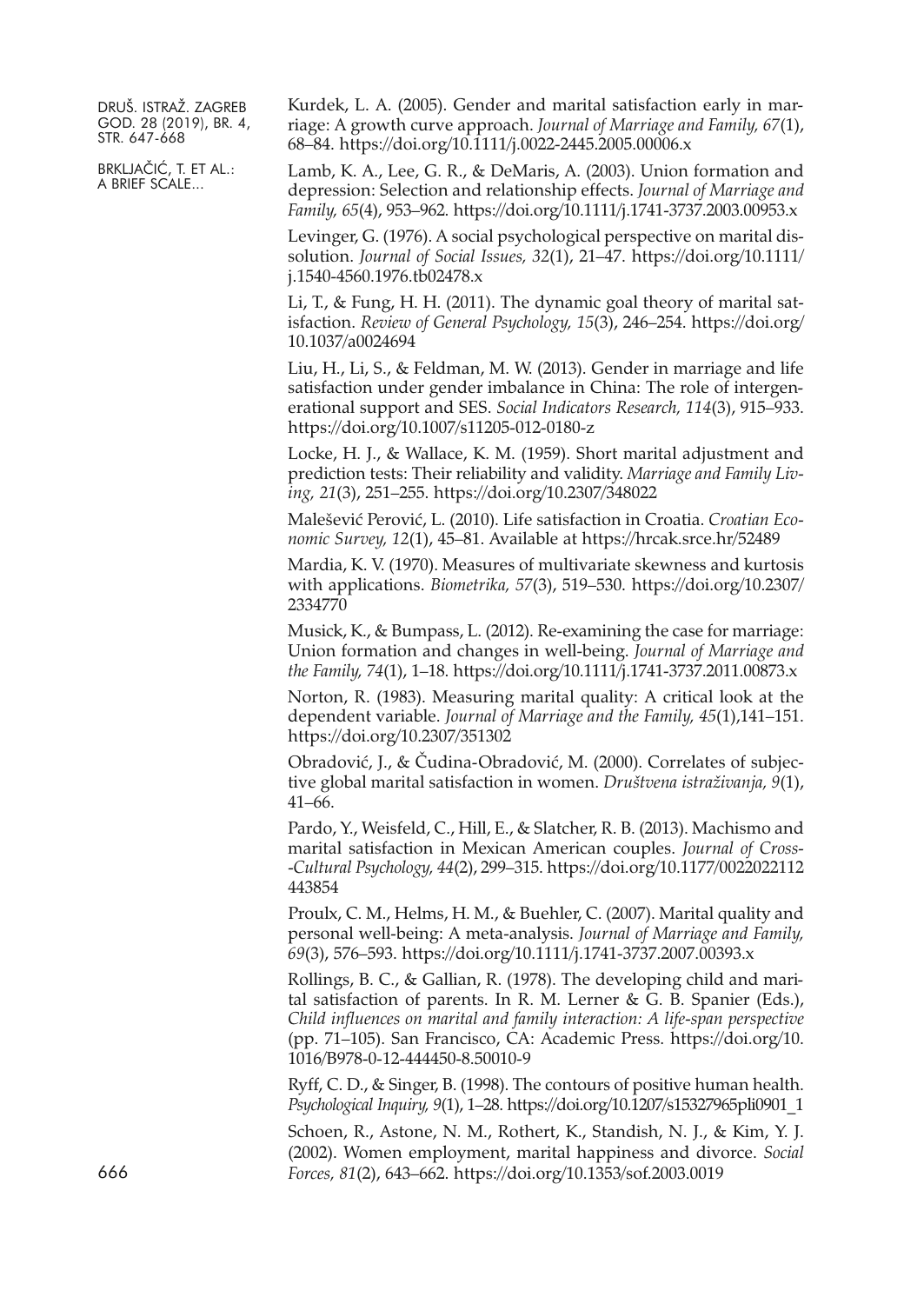BRKLJAČIĆ, T. ET AL.: A BRIEF SCALE...

Kurdek, L. A. (2005). Gender and marital satisfaction early in marriage: A growth curve approach. *Journal of Marriage and Family, 67*(1), 68–84. <https://doi.org/10.1111/j.0022-2445.2005.00006.x>

Lamb, K. A., Lee, G. R., & DeMaris, A. (2003). Union formation and depression: Selection and relationship effects. *Journal of Marriage and Family, 65*(4), 953–962. <https://doi.org/10.1111/j.1741-3737.2003.00953.x>

Levinger, G. (1976). A social psychological perspective on marital dissolution. *Journal of Social Issues, 32*(1), 21–47. [https://doi.org/10.1111/](https://doi.org/10.1111/j.1540-4560.1976.tb02478.x) [j.1540-4560.1976.tb02478.x](https://doi.org/10.1111/j.1540-4560.1976.tb02478.x)

Li, T., & Fung, H. H. (2011). The dynamic goal theory of marital satisfaction. *Review of General Psychology, 15*(3), 246–254. [https://doi.org/](https://doi.org/10.1037/a0024694) [10.1037/a0024694](https://doi.org/10.1037/a0024694)

Liu, H., Li, S., & Feldman, M. W. (2013). Gender in marriage and life satisfaction under gender imbalance in China: The role of intergenerational support and SES. *Social Indicators Research, 114*(3), 915–933. <https://doi.org/10.1007/s11205-012-0180-z>

Locke, H. J., & Wallace, K. M. (1959). Short marital adjustment and prediction tests: Their reliability and validity. *Marriage and Family Living, 21*(3), 251–255. <https://doi.org/10.2307/348022>

Malešević Perović, L. (2010). Life satisfaction in Croatia. *Croatian Economic Survey, 12*(1), 45–81. Available at <https://hrcak.srce.hr/52489>

Mardia, K. V. (1970). Measures of multivariate skewness and kurtosis with applications. *Biometrika, 57*(3), 519–530. [https://doi.org/10.2307/](https://doi.org/10.2307/2334770) [2334770](https://doi.org/10.2307/2334770)

Musick, K., & Bumpass, L. (2012). Re-examining the case for marriage: Union formation and changes in well-being. *Journal of Marriage and the Family, 74*(1), 1–18. <https://doi.org/10.1111/j.1741-3737.2011.00873.x>

Norton, R. (1983). Measuring marital quality: A critical look at the dependent variable. *Journal of Marriage and the Family, 45*(1),141–151. <https://doi.org/10.2307/351302>

Obradović, J., & Čudina-Obradović, M. (2000). Correlates of subjective global marital satisfaction in women. *Društvena istraživanja, 9*(1), 41–66.

Pardo, Y., Weisfeld, C., Hill, E., & Slatcher, R. B. (2013). Machismo and marital satisfaction in Mexican American couples. *Journal of Cross- -Cultural Psychology, 44*(2), 299–315. [https://doi.org/10.1177/0022022112](https://doi.org/10.1177/0022022112443854) [443854](https://doi.org/10.1177/0022022112443854)

Proulx, C. M., Helms, H. M., & Buehler, C. (2007). Marital quality and personal well-being: A meta-analysis. *Journal of Marriage and Family, 69*(3), 576–593. <https://doi.org/10.1111/j.1741-3737.2007.00393.x>

Rollings, B. C., & Gallian, R. (1978). The developing child and marital satisfaction of parents. In R. M. Lerner & G. B. Spanier (Eds.), *Child influences on marital and family interaction: A life-span perspective* (pp. 71–105). San Francisco, CA: Academic Press. [https://doi.org/10.](https://doi.org/10.1016/B978-0-12-444450-8.50010-9) [1016/B978-0-12-444450-8.50010-9](https://doi.org/10.1016/B978-0-12-444450-8.50010-9)

Ryff, C. D., & Singer, B. (1998). The contours of positive human health. *Psychological Inquiry, 9*(1), 1–28. [https://doi.org/10.1207/s15327965pli0901\\_1](https://doi.org/10.1207/s15327965pli0901_1)

Schoen, R., Astone, N. M., Rothert, K., Standish, N. J., & Kim, Y. J. (2002). Women employment, marital happiness and divorce. *Social Forces, 81*(2), 643–662. <https://doi.org/10.1353/sof.2003.0019>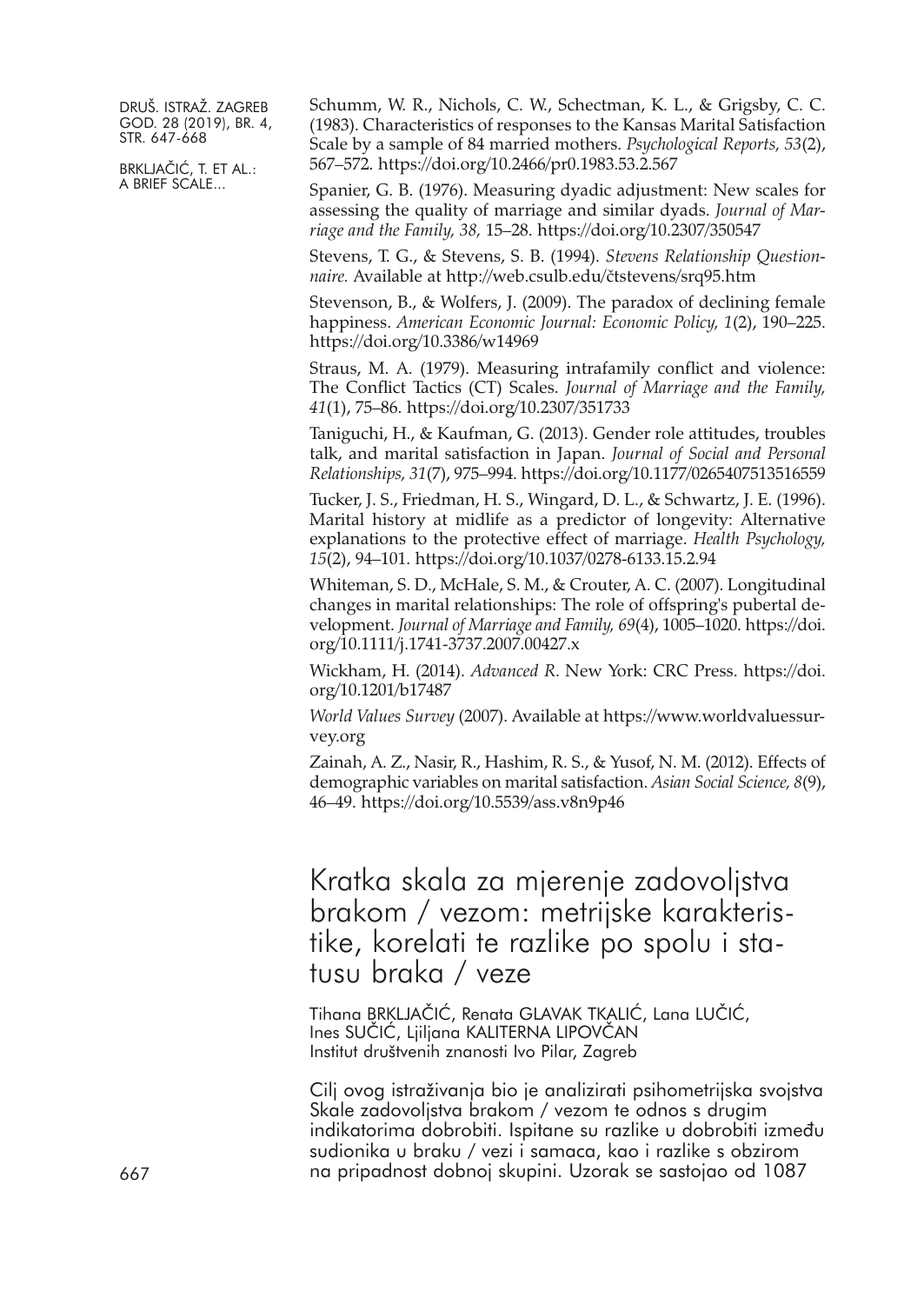BRKLJAČIĆ, T. ET AL.: A BRIEF SCALE...

Schumm, W. R., Nichols, C. W., Schectman, K. L., & Grigsby, C. C. (1983). Characteristics of responses to the Kansas Marital Satisfaction Scale by a sample of 84 married mothers. *Psychological Reports, 53*(2), 567–572. <https://doi.org/10.2466/pr0.1983.53.2.567>

Spanier, G. B. (1976). Measuring dyadic adjustment: New scales for assessing the quality of marriage and similar dyads. *Journal of Marriage and the Family, 38,* 15–28. <https://doi.org/10.2307/350547>

Stevens, T. G., & Stevens, S. B. (1994). *Stevens Relationship Questionnaire.* Available at http://web.csulb.edu/čtstevens/srq95.htm

Stevenson, B., & Wolfers, J. (2009). The paradox of declining female happiness. *American Economic Journal: Economic Policy, 1*(2), 190–225. <https://doi.org/10.3386/w14969>

Straus, M. A. (1979). Measuring intrafamily conflict and violence: The Conflict Tactics (CT) Scales. *Journal of Marriage and the Family, 41*(1), 75–86. <https://doi.org/10.2307/351733>

Taniguchi, H., & Kaufman, G. (2013). Gender role attitudes, troubles talk, and marital satisfaction in Japan. *Journal of Social and Personal Relationships, 31*(7), 975–994. <https://doi.org/10.1177/0265407513516559>

Tucker, J. S., Friedman, H. S., Wingard, D. L., & Schwartz, J. E. (1996). Marital history at midlife as a predictor of longevity: Alternative explanations to the protective effect of marriage. *Health Psychology, 15*(2), 94–101. <https://doi.org/10.1037/0278-6133.15.2.94>

Whiteman, S. D., McHale, S. M., & Crouter, A. C. (2007). Longitudinal changes in marital relationships: The role of offspring's pubertal development. *Journal of Marriage and Family, 69*(4), 1005–1020. [https://doi.](https://doi.org/10.1111/j.1741-3737.2007.00427.x) [org/10.1111/j.1741-3737.2007.00427.x](https://doi.org/10.1111/j.1741-3737.2007.00427.x)

Wickham, H. (2014). *Advanced R*. New York: CRC Press. [https://doi.](https://doi.org/10.1201/b17487) [org/10.1201/b17487](https://doi.org/10.1201/b17487)

*World Values Survey* (2007). Available at [https://www.worldvaluessur](https://www.worldvaluessurvey.org)[vey.org](https://www.worldvaluessurvey.org)

Zainah, A. Z., Nasir, R., Hashim, R. S., & Yusof, N. M. (2012). Effects of demographic variables on marital satisfaction. *Asian Social Science, 8*(9), 46–49. <https://doi.org/10.5539/ass.v8n9p46>

Kratka skala za mjerenje zadovoljstva brakom / vezom: metrijske karakteristike, korelati te razlike po spolu i statusu braka / veze

Tihana BRKLJAČIĆ, Renata GLAVAK TKALIĆ, Lana LUČIĆ, Ines SUČIĆ, Ljiljana KALITERNA LIPOVČAN Institut društvenih znanosti Ivo Pilar, Zagreb

Cilj ovog istraživanja bio je analizirati psihometrijska svojstva Skale zadovoljstva brakom / vezom te odnos s drugim indikatorima dobrobiti. Ispitane su razlike u dobrobiti između sudionika u braku / vezi i samaca, kao i razlike s obzirom 667 na pripadnost dobnoj skupini. Uzorak se sastojao od 1087